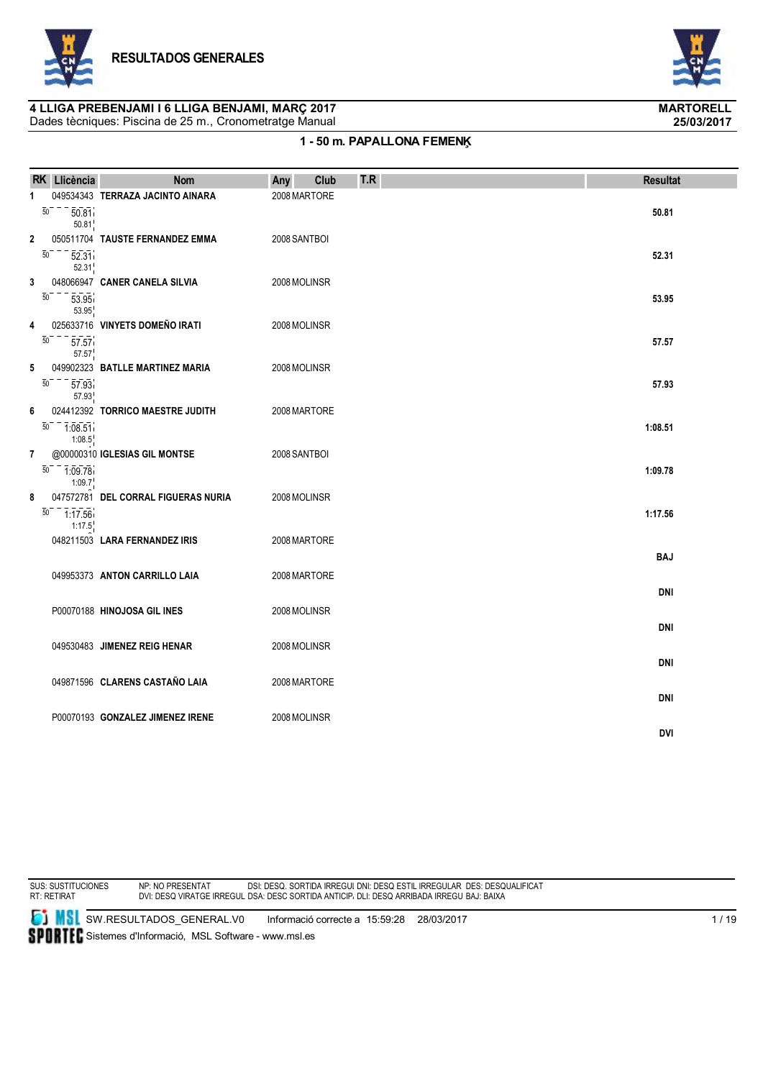



# **4 LLIGA PREBENJAMI I 6 LLIGA BENJAMI, MARÇ 2017 MARTORELL**

Dades tècniques: Piscina de 25 m., Cronometratge Manual

### **1 - 50 m. PAPALLONA FEMENĶ**

|                                   | RK Llicència                                     | <b>Nom</b>                                                     | Any<br>Club                  | T.R | <b>Resultat</b>          |
|-----------------------------------|--------------------------------------------------|----------------------------------------------------------------|------------------------------|-----|--------------------------|
|                                   |                                                  |                                                                |                              |     |                          |
| 1                                 | $\overline{50}$<br>50.81<br>50.81                | 049534343 TERRAZA JACINTO AINARA                               | 2008 MARTORE                 |     | 50.81                    |
| 2<br>$\overline{50}$              | 52.31<br>52.31                                   | 050511704 TAUSTE FERNANDEZ EMMA                                | 2008 SANTBOI                 |     | 52.31                    |
| 3<br>50                           | 53.95<br>53.95                                   | 048066947 CANER CANELA SILVIA                                  | 2008 MOLINSR                 |     | 53.95                    |
| 4<br>$\overline{50}$              | 57.57<br>57.57                                   | 025633716 VINYETS DOMEÑO IRATI                                 | 2008 MOLINSR                 |     | 57.57                    |
| 5<br>$\overline{50}$              | 57.93<br>57.93                                   | 049902323 BATLLE MARTINEZ MARIA                                | 2008 MOLINSR                 |     | 57.93                    |
| 6                                 | $\overline{50}$ - $\overline{1:08.51}$<br>1:08.5 | 024412392 TORRICO MAESTRE JUDITH                               | 2008 MARTORE                 |     | 1:08.51                  |
| $\overline{7}$<br>$\overline{50}$ | $-7.09.78$<br>1:09.7                             | @00000310 IGLESIAS GIL MONTSE                                  | 2008 SANTBOI                 |     | 1:09.78                  |
| 8                                 | $\overline{50}$ - $\overline{1:17.56}$<br>1:17.5 | 047572781 DEL CORRAL FIGUERAS NURIA                            | 2008 MOLINSR                 |     | 1:17.56                  |
|                                   |                                                  | 048211503 LARA FERNANDEZ IRIS<br>049953373 ANTON CARRILLO LAIA | 2008 MARTORE<br>2008 MARTORE |     | <b>BAJ</b>               |
|                                   |                                                  | P00070188 HINOJOSA GIL INES                                    | 2008 MOLINSR                 |     | <b>DNI</b>               |
|                                   |                                                  | 049530483 JIMENEZ REIG HENAR                                   | 2008 MOLINSR                 |     | <b>DNI</b>               |
|                                   |                                                  | 049871596 CLARENS CASTAÑO LAIA                                 | 2008 MARTORE                 |     | <b>DNI</b><br><b>DNI</b> |
|                                   |                                                  | P00070193 GONZALEZ JIMENEZ IRENE                               | 2008 MOLINSR                 |     | <b>DVI</b>               |

SUS: SUSTITUCIONES RT: RETIRAT

NP: NO PRESENTAT DVI: DESQ VIRATGE IRREGULAR DSI: DESQ. SORTIDA IRREGULAR DSA: DESC SORTIDA ANTICIPADA DNI: DESQ ESTIL IRREGULAR DLI: DESQ ARRIBADA IRREGULAR DES: DESQUALIFICAT BAJ: BAIXA

**SI MSI** SW.RESULTADOS\_GENERAL.V0 Informació correcte a 15:59:28 28/03/2017 SPORTEC Sistemes d'Informació, MSL Software - www.msl.es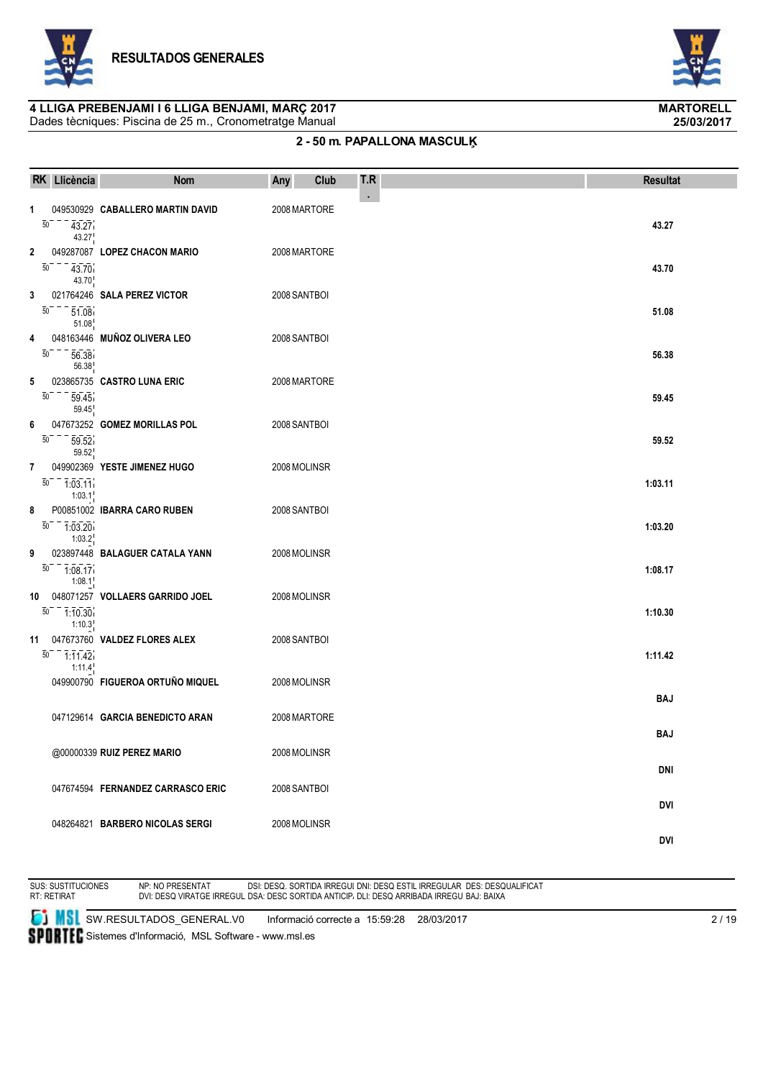



# **4 LLIGA PREBENJAMI I 6 LLIGA BENJAMI, MARÇ 2017 MARTORELL**

Dades tècniques: Piscina de 25 m., Cronometratge Manual

### **2 - 50 m. PAPALLONA MASCULĶ**

|                      | RK Llicència         | <b>Nom</b>                                                    | Any                          | Club | T.R            | <b>Resultat</b>          |
|----------------------|----------------------|---------------------------------------------------------------|------------------------------|------|----------------|--------------------------|
| $\mathbf{1}$<br>50   | 43.27<br>43.27       | 049530929 CABALLERO MARTIN DAVID                              | 2008 MARTORE                 |      | $\blacksquare$ | 43.27                    |
| 2<br>$\overline{50}$ | 43.70<br>43.70       | 049287087 LOPEZ CHACON MARIO                                  | 2008 MARTORE                 |      |                | 43.70                    |
| 3<br>50              | 51.08<br>51.08       | 021764246 SALA PEREZ VICTOR                                   | 2008 SANTBOI                 |      |                | 51.08                    |
| 4<br>50              | 56.38<br>56.38       | 048163446 MUÑOZ OLIVERA LEO                                   | 2008 SANTBOI                 |      |                | 56.38                    |
| 5<br>$\overline{50}$ | 59.45<br>59.45       | 023865735 CASTRO LUNA ERIC                                    | 2008 MARTORE                 |      |                | 59.45                    |
| 6<br>50              | 59.52<br>59.52       | 047673252 GOMEZ MORILLAS POL                                  | 2008 SANTBOI                 |      |                | 59.52                    |
| $\overline{7}$<br>50 | $-1.03.11$<br>1:03.1 | 049902369 YESTE JIMENEZ HUGO                                  | 2008 MOLINSR                 |      |                | 1:03.11                  |
| 8<br>50              | 1:03.20<br>1:03.2    | P00851002 IBARRA CARO RUBEN                                   | 2008 SANTBOI                 |      |                | 1:03.20                  |
| 9<br>$\overline{50}$ | $-7.08.17$<br>1:08.1 | 023897448 BALAGUER CATALA YANN                                | 2008 MOLINSR                 |      |                | 1:08.17                  |
| 10<br>50             | 1:10.30<br>1:10.3    | 048071257 VOLLAERS GARRIDO JOEL                               | 2008 MOLINSR                 |      |                | 1:10.30                  |
| 11<br>50             | $-7.11.42$<br>1:11.4 | 047673760 VALDEZ FLORES ALEX                                  | 2008 SANTBOI                 |      |                | 1:11.42                  |
|                      |                      | 049900790 FIGUEROA ORTUÑO MIQUEL                              | 2008 MOLINSR                 |      |                | BAJ                      |
|                      |                      | 047129614 GARCIA BENEDICTO ARAN<br>@00000339 RUIZ PEREZ MARIO | 2008 MARTORE<br>2008 MOLINSR |      |                | <b>BAJ</b>               |
|                      |                      | 047674594 FERNANDEZ CARRASCO ERIC                             | 2008 SANTBOI                 |      |                | DNI                      |
|                      |                      | 048264821 BARBERO NICOLAS SERGI                               | 2008 MOLINSR                 |      |                | <b>DVI</b><br><b>DVI</b> |



NP: NO PRESENTAT DVI: DESQ VIRATGE IRREGULAR DSI: DESQ. SORTIDA IRREGULAR DSA: DESC SORTIDA ANTICIPADA DNI: DESQ ESTIL IRREGULAR DLI: DESQ ARRIBADA IRREGULAR DES: DESQUALIFICAT BAJ: BAIXA

**SI** SW.RESULTADOS\_GENERAL.V0 Informació correcte a 15:59:28 28/03/2017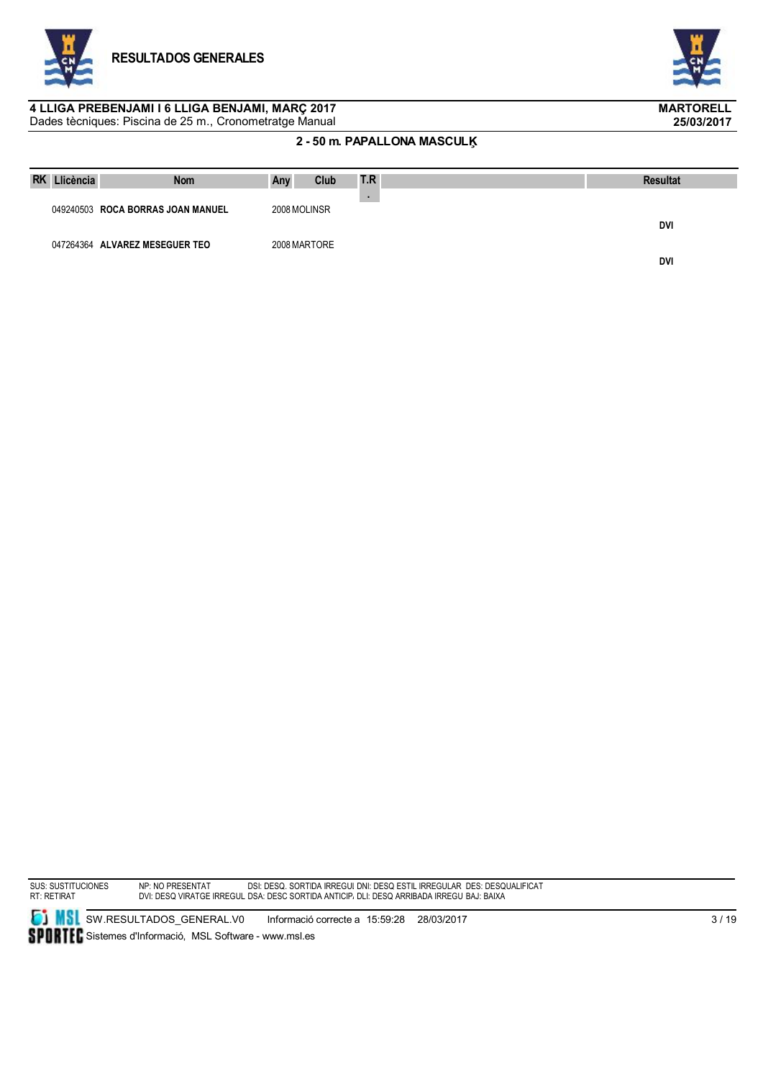



#### Dades tècniques: Piscina de 25 m., Cronometratge Manual **4 LLIGA PREBENJAMI I 6 LLIGA BENJAMI, MARÇ 2017 MARTORELL**

### **2 - 50 m. PAPALLONA MASCULĶ**

| <b>RK</b><br>Llicència | <b>Nom</b>                        | Any          | Club | T.R | <b>Resultat</b> |
|------------------------|-----------------------------------|--------------|------|-----|-----------------|
|                        | 049240503 ROCA BORRAS JOAN MANUEL | 2008 MOLINSR |      |     |                 |
|                        |                                   |              |      |     | DVI             |
|                        | 047264364 ALVAREZ MESEGUER TEO    | 2008 MARTORE |      |     | DVI             |

SUS: SUSTITUCIONES RT: RETIRAT NP: NO PRESENTAT DVI: DESQ VIRATGE IRREGULAR DSI: DESQ. SORTIDA IRREGULAR DSA: DESC SORTIDA ANTICIPADA DNI: DESQ ESTIL IRREGULAR DLI: DESQ ARRIBADA IRREGULAR DES: DESQUALIFICAT BAJ: BAIXA

**SI** SW.RESULTADOS\_GENERAL.V0 Informació correcte a 15:59:28 28/03/2017 SPORTEC Sistemes d'Informació, MSL Software - www.msl.es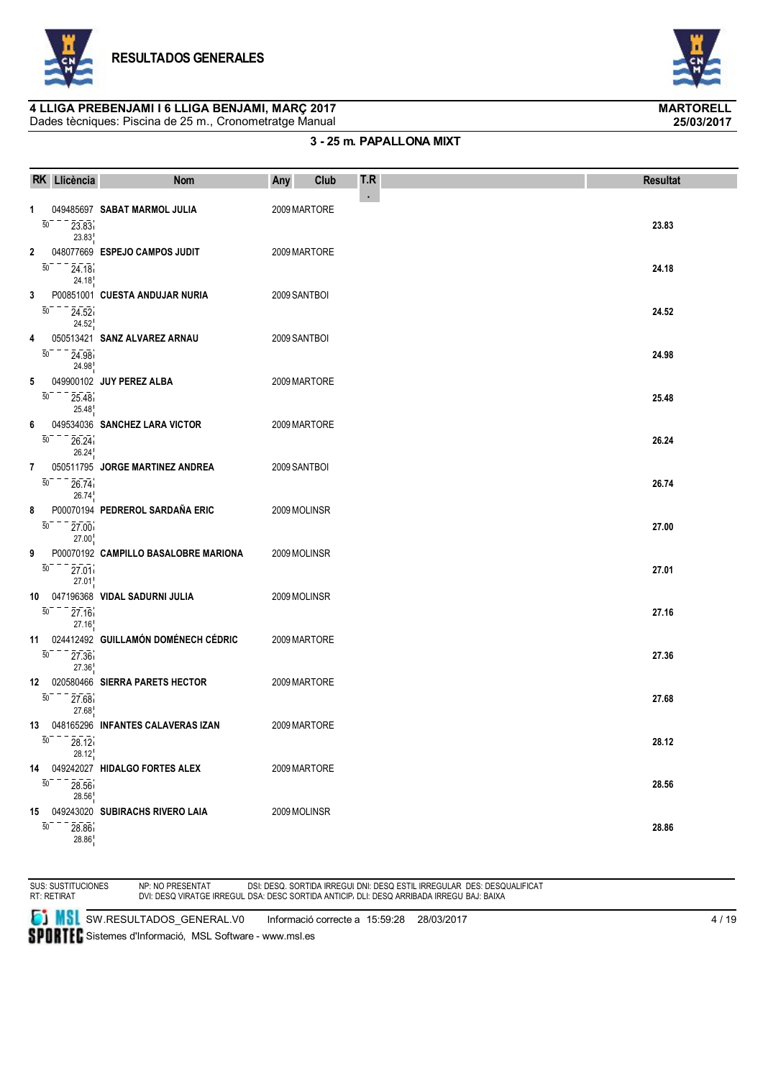



## **4 LLIGA PREBENJAMI I 6 LLIGA BENJAMI, MARÇ 2017 MARTORELL**

Dades tècniques: Piscina de 25 m., Cronometratge Manual

### **3 - 25 m. PAPALLONA MIXT**

|                       | RK Llicència                                  | <b>Nom</b>                           | Any          | Club | T.R        | <b>Resultat</b> |
|-----------------------|-----------------------------------------------|--------------------------------------|--------------|------|------------|-----------------|
| 1<br>$\overline{50}$  | 23.83<br>23.83                                | 049485697 SABAT MARMOL JULIA         | 2009 MARTORE |      | $\epsilon$ | 23.83           |
| 2<br>$\overline{50}$  | 24.18<br>24.18                                | 048077669 ESPEJO CAMPOS JUDIT        | 2009 MARTORE |      |            | 24.18           |
| 3<br>$\overline{50}$  | 24.52<br>24.52                                | P00851001 CUESTA ANDUJAR NURIA       | 2009 SANTBOI |      |            | 24.52           |
| 4<br>50               | 24.98<br>24.98                                | 050513421 SANZ ALVAREZ ARNAU         | 2009 SANTBOI |      |            | 24.98           |
| 5<br>50               | 25.48<br>25.48                                | 049900102 JUY PEREZ ALBA             | 2009 MARTORE |      |            | 25.48           |
| 6<br>$\overline{50}$  | 26.24<br>26.24                                | 049534036 SANCHEZ LARA VICTOR        | 2009 MARTORE |      |            | 26.24           |
| 7<br>$\overline{50}$  | 26.74<br>26.74                                | 050511795 JORGE MARTINEZ ANDREA      | 2009 SANTBOI |      |            | 26.74           |
| 8<br>$\overline{50}$  | $\overline{27.00}$<br>27.00                   | P00070194 PEDREROL SARDAÑA ERIC      | 2009 MOLINSR |      |            | 27.00           |
| 9<br>$\overline{50}$  | 27.01<br>27.01                                | P00070192 CAMPILLO BASALOBRE MARIONA | 2009 MOLINSR |      |            | 27.01           |
| 10<br>$\overline{50}$ | 27.16<br>27.16                                | 047196368 VIDAL SADURNI JULIA        | 2009 MOLINSR |      |            | 27.16           |
| 11<br>$\overline{50}$ | 27.36<br>27.36                                | 024412492 GUILLAMÓN DOMÉNECH CÉDRIC  | 2009 MARTORE |      |            | 27.36           |
| 12<br>$\overline{50}$ | 27.68<br>27.68                                | 020580466 SIERRA PARETS HECTOR       | 2009 MARTORE |      |            | 27.68           |
|                       | $\overline{50}$ <sup>---</sup> 28.12<br>28.12 | 13 048165296 INFANTES CALAVERAS IZAN | 2009 MARTORE |      |            | 28.12           |
| 14<br>50              | 28.56<br>28.56                                | 049242027 HIDALGO FORTES ALEX        | 2009 MARTORE |      |            | 28.56           |
| $\overline{50}$       | 28.86<br>28.86                                | 15 049243020 SUBIRACHS RIVERO LAIA   | 2009 MOLINSR |      |            | 28.86           |

SUS: SUSTITUCIONES RT: RETIRAT

NP: NO PRESENTAT DVI: DESQ VIRATGE IRREGULAR DSI: DESQ. SORTIDA IRREGULAR DSA: DESC SORTIDA ANTICIPADA DNI: DESQ ESTIL IRREGULAR DLI: DESQ ARRIBADA IRREGULAR DES: DESQUALIFICAT BAJ: BAIXA

**SI MSI** SW.RESULTADOS\_GENERAL.V0 Informació correcte a 15:59:28 28/03/2017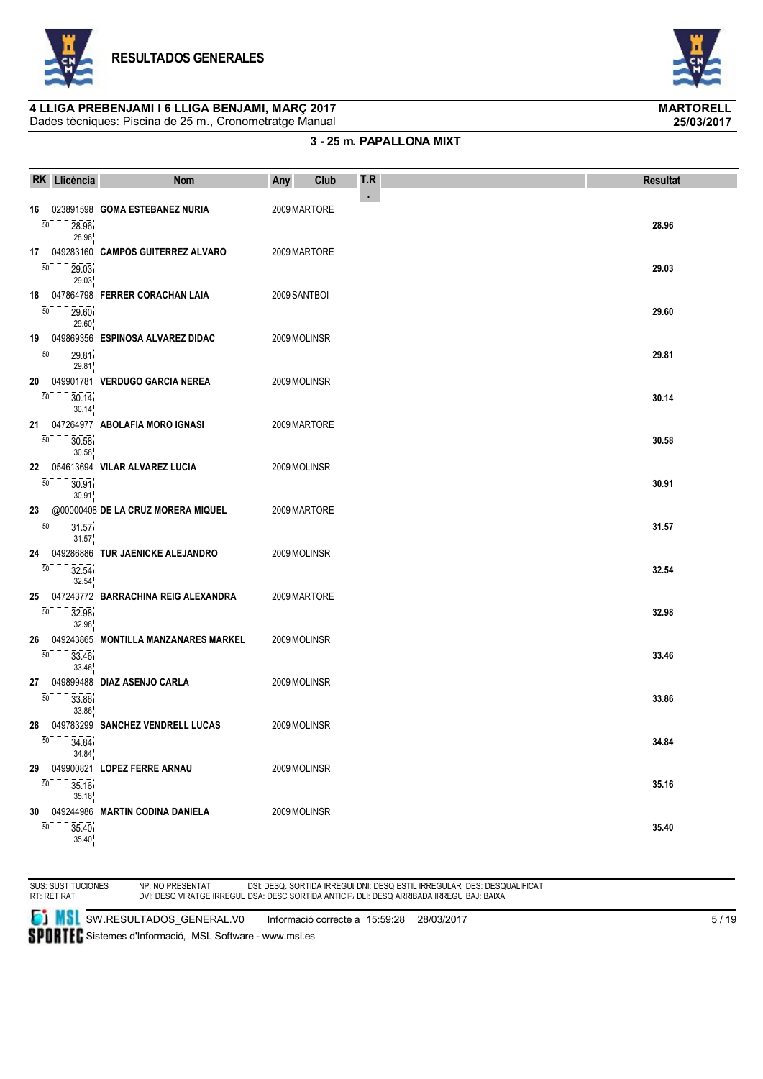



# **4 LLIGA PREBENJAMI I 6 LLIGA BENJAMI, MARÇ 2017 MARTORELL**

Dades tècniques: Piscina de 25 m., Cronometratge Manual

### **3 - 25 m. PAPALLONA MIXT**

|                       | RK Llicència                                               | <b>Nom</b>                           | Any          | Club | T.R        | <b>Resultat</b> |
|-----------------------|------------------------------------------------------------|--------------------------------------|--------------|------|------------|-----------------|
| 16<br>$\overline{50}$ | 28.96<br>28.96                                             | 023891598 GOMA ESTEBANEZ NURIA       | 2009 MARTORE |      | $\epsilon$ | 28.96           |
| 17<br>$\overline{50}$ | 29.03<br>29.03                                             | 049283160 CAMPOS GUITERREZ ALVARO    | 2009 MARTORE |      |            | 29.03           |
| 18<br>$\overline{50}$ | 29.60<br>29.60                                             | 047864798 FERRER CORACHAN LAIA       | 2009 SANTBOI |      |            | 29.60           |
| 19<br>$\overline{50}$ | 29.81<br>29.81                                             | 049869356 ESPINOSA ALVAREZ DIDAC     | 2009 MOLINSR |      |            | 29.81           |
| 20<br>50              | 30.14<br>30.14                                             | 049901781 VERDUGO GARCIA NEREA       | 2009 MOLINSR |      |            | 30.14           |
| 21<br>$\overline{50}$ | 30.58<br>30.58                                             | 047264977 ABOLAFIA MORO IGNASI       | 2009 MARTORE |      |            | 30.58           |
| 22<br>$\overline{50}$ | 30.91<br>30.91                                             | 054613694 VILAR ALVAREZ LUCIA        | 2009 MOLINSR |      |            | 30.91           |
| 23<br>50              | 31.57<br>31.57                                             | @00000408 DE LA CRUZ MORERA MIQUEL   | 2009 MARTORE |      |            | 31.57           |
| 24<br>$\overline{50}$ | 32.54<br>32.54                                             | 049286886 TUR JAENICKE ALEJANDRO     | 2009 MOLINSR |      |            | 32.54           |
| 25<br>$\overline{50}$ | 32.98<br>32.98                                             | 047243772 BARRACHINA REIG ALEXANDRA  | 2009 MARTORE |      |            | 32.98           |
| 26<br>$\overline{50}$ | 33.46<br>33.46                                             | 049243865 MONTILLA MANZANARES MARKEL | 2009 MOLINSR |      |            | 33.46           |
| 27<br>$\overline{50}$ | 33.86<br>33.86                                             | 049899488 DIAZ ASENJO CARLA          | 2009 MOLINSR |      |            | 33.86           |
| 28                    | $\overline{50}$ <sup>---</sup> $\overline{34.84}$<br>34.84 | 049783299 SANCHEZ VENDRELL LUCAS     | 2009 MOLINSR |      |            | 34.84           |
| 29<br>50              | 35.16<br>35.16                                             | 049900821 LOPEZ FERRE ARNAU          | 2009 MOLINSR |      |            | 35.16           |
| 30<br>$\overline{50}$ | 35.40<br>35.40                                             | 049244986 MARTIN CODINA DANIELA      | 2009 MOLINSR |      |            | 35.40           |

SUS: SUSTITUCIONES RT: RETIRAT

NP: NO PRESENTAT DVI: DESQ VIRATGE IRREGULAR DSI: DESQ. SORTIDA IRREGULAR DSA: DESC SORTIDA ANTICIPADA DNI: DESQ ESTIL IRREGULAR DLI: DESQ ARRIBADA IRREGULAR DES: DESQUALIFICAT BAJ: BAIXA

**SI MSI** SW.RESULTADOS\_GENERAL.V0 Informació correcte a 15:59:28 28/03/2017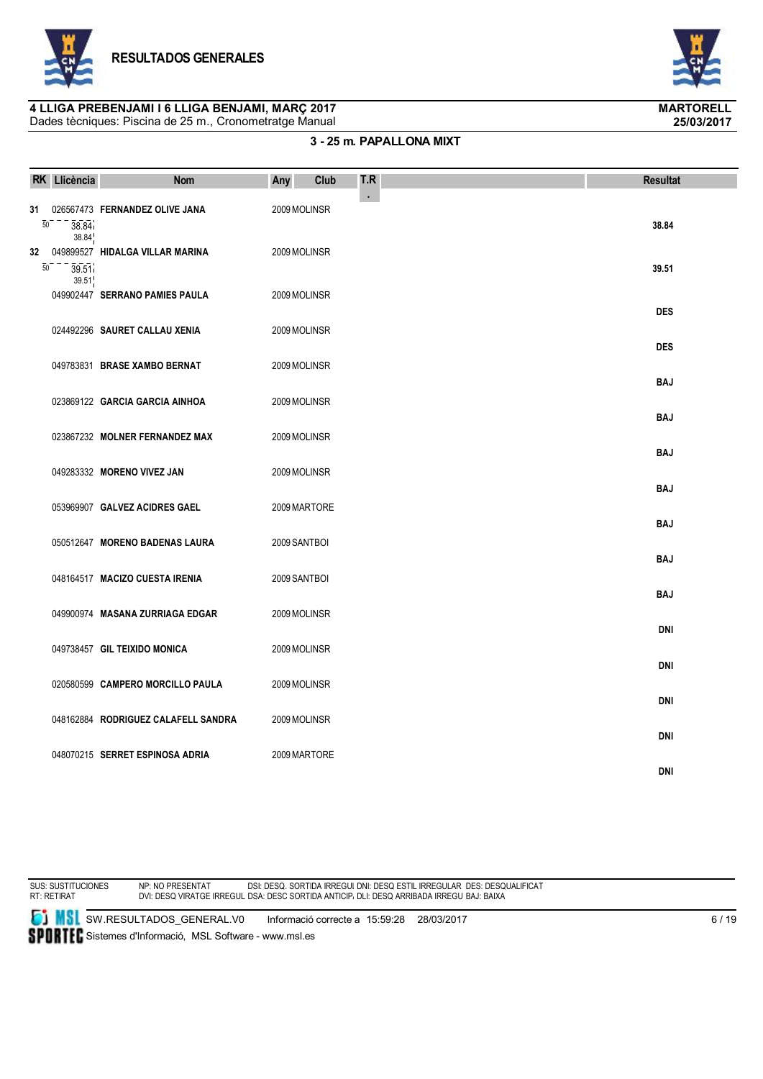



### **3 - 25 m. PAPALLONA MIXT**

|                       | RK Llicència   | <b>Nom</b>                          | Any          | Club | T.R | <b>Resultat</b> |
|-----------------------|----------------|-------------------------------------|--------------|------|-----|-----------------|
| 31<br>$\overline{50}$ | 38.84<br>38.84 | 026567473 FERNANDEZ OLIVE JANA      | 2009 MOLINSR |      | ×,  | 38.84           |
| 32<br>$\overline{50}$ | 39.51<br>39.51 | 049899527 HIDALGA VILLAR MARINA     | 2009 MOLINSR |      |     | 39.51           |
|                       |                | 049902447 SERRANO PAMIES PAULA      | 2009 MOLINSR |      |     | <b>DES</b>      |
|                       |                | 024492296 SAURET CALLAU XENIA       | 2009 MOLINSR |      |     | <b>DES</b>      |
|                       |                | 049783831 BRASE XAMBO BERNAT        | 2009 MOLINSR |      |     | <b>BAJ</b>      |
|                       |                | 023869122 GARCIA GARCIA AINHOA      | 2009 MOLINSR |      |     | <b>BAJ</b>      |
|                       |                | 023867232 MOLNER FERNANDEZ MAX      | 2009 MOLINSR |      |     | <b>BAJ</b>      |
|                       |                | 049283332 MORENO VIVEZ JAN          | 2009 MOLINSR |      |     | <b>BAJ</b>      |
|                       |                | 053969907 GALVEZ ACIDRES GAEL       | 2009 MARTORE |      |     | <b>BAJ</b>      |
|                       |                | 050512647 MORENO BADENAS LAURA      | 2009 SANTBOI |      |     | <b>BAJ</b>      |
|                       |                | 048164517 MACIZO CUESTA IRENIA      | 2009 SANTBOI |      |     | <b>BAJ</b>      |
|                       |                | 049900974 MASANA ZURRIAGA EDGAR     | 2009 MOLINSR |      |     | <b>DNI</b>      |
|                       |                | 049738457 GIL TEIXIDO MONICA        | 2009 MOLINSR |      |     | <b>DNI</b>      |
|                       |                | 020580599 CAMPERO MORCILLO PAULA    | 2009 MOLINSR |      |     | <b>DNI</b>      |
|                       |                | 048162884 RODRIGUEZ CALAFELL SANDRA | 2009 MOLINSR |      |     | <b>DNI</b>      |
|                       |                | 048070215 SERRET ESPINOSA ADRIA     | 2009 MARTORE |      |     | <b>DNI</b>      |

SUS: SUSTITUCIONES RT: RETIRAT

NP: NO PRESENTAT DVI: DESQ VIRATGE IRREGULAR DSI: DESQ. SORTIDA IRREGULAR DSA: DESC SORTIDA ANTICIPADA DNI: DESQ ESTIL IRREGULAR DLI: DESQ ARRIBADA IRREGULAR DES: DESQUALIFICAT BAJ: BAIXA

**SI MSI** SW.RESULTADOS\_GENERAL.V0 Informació correcte a 15:59:28 28/03/2017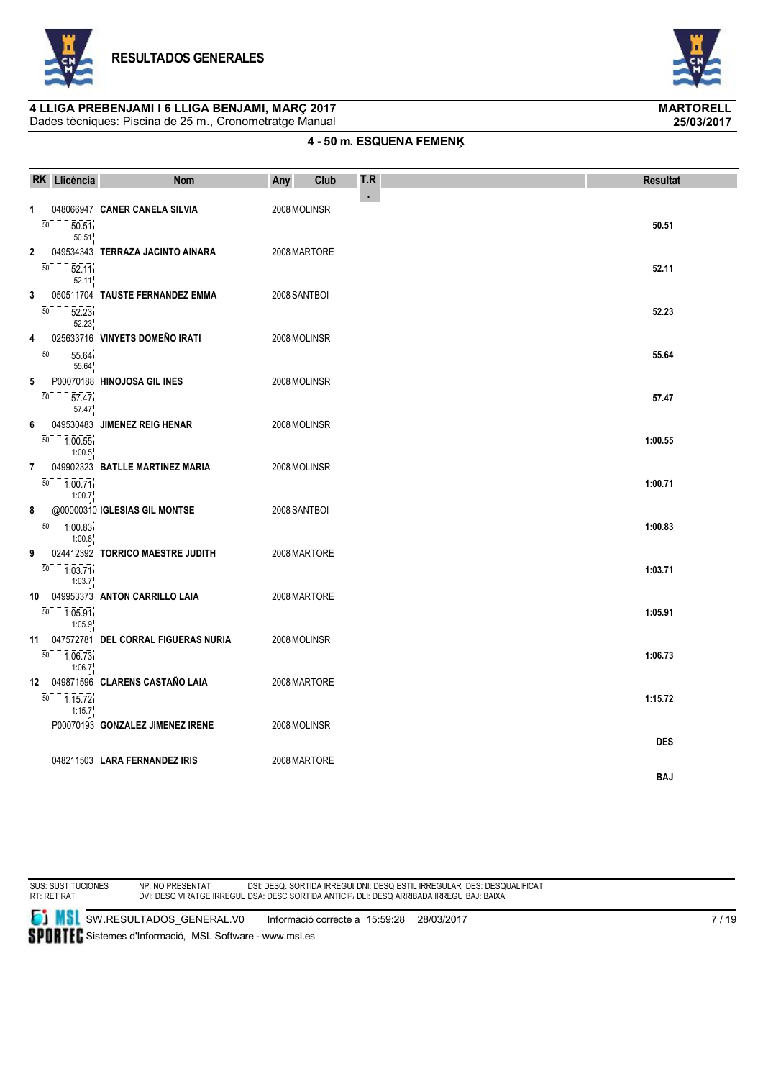



# **4 LLIGA PREBENJAMI I 6 LLIGA BENJAMI, MARÇ 2017 MARTORELL**

Dades tècniques: Piscina de 25 m., Cronometratge Manual

# **4 - 50 m. ESQUENA FEMENĶ**

|    | RK Llicència                                        | <b>Nom</b>                          | Any          | Club | T.R        | <b>Resultat</b> |
|----|-----------------------------------------------------|-------------------------------------|--------------|------|------------|-----------------|
| 1  | $\overline{50}$<br>50.51<br>50.51                   | 048066947 CANER CANELA SILVIA       | 2008 MOLINSR |      | $\epsilon$ | 50.51           |
| 2  | $\overline{50}$<br>52.11<br>52.11                   | 049534343 TERRAZA JACINTO AINARA    | 2008 MARTORE |      |            | 52.11           |
| 3  | $\overline{50}$<br>52.23<br>52.23                   | 050511704 TAUSTE FERNANDEZ EMMA     | 2008 SANTBOI |      |            | 52.23           |
| 4  | $\overline{50}$<br>55.64<br>55.64                   | 025633716 VINYETS DOMEÑO IRATI      | 2008 MOLINSR |      |            | 55.64           |
| 5  | $\overline{50}$<br>57.47<br>57.47                   | P00070188 HINOJOSA GIL INES         | 2008 MOLINSR |      |            | 57.47           |
| 6  | $\overline{50}$<br>1:00.55<br>1:00.5                | 049530483 JIMENEZ REIG HENAR        | 2008 MOLINSR |      |            | 1:00.55         |
| 7  | $\overline{50}$<br>1:00.71<br>1:00.7                | 049902323 BATLLE MARTINEZ MARIA     | 2008 MOLINSR |      |            | 1:00.71         |
| 8  | $\overline{50}$ - $\overline{1:00.83}$<br>1:00.8    | @00000310 IGLESIAS GIL MONTSE       | 2008 SANTBOI |      |            | 1:00.83         |
| 9  | $\overline{50}$<br>$-1.03.71$<br>$1:03.7^{\dagger}$ | 024412392 TORRICO MAESTRE JUDITH    | 2008 MARTORE |      |            | 1:03.71         |
| 10 | $\overline{50}$<br>$\frac{-}{1.05.91}$<br>1:05.9    | 049953373 ANTON CARRILLO LAIA       | 2008 MARTORE |      |            | 1:05.91         |
| 11 | $\overline{50}$<br>$-7.06.73$<br>1:06.7             | 047572781 DEL CORRAL FIGUERAS NURIA | 2008 MOLINSR |      |            | 1:06.73         |
|    | $\overline{50}$<br>$-7:15.72$<br>1:15.7             | 12 049871596 CLARENS CASTAÑO LAIA   | 2008 MARTORE |      |            | 1:15.72         |
|    |                                                     | P00070193 GONZALEZ JIMENEZ IRENE    | 2008 MOLINSR |      |            | <b>DES</b>      |
|    |                                                     | 048211503 LARA FERNANDEZ IRIS       | 2008 MARTORE |      |            | <b>BAJ</b>      |



NP: NO PRESENTAT DVI: DESQ VIRATGE IRREGULAR DSI: DESQ. SORTIDA IRREGULAR DSA: DESC SORTIDA ANTICIPADA DNI: DESQ ESTIL IRREGULAR DLI: DESQ ARRIBADA IRREGULAR DES: DESQUALIFICAT BAJ: BAIXA

**SI MSI** SW.RESULTADOS\_GENERAL.V0 Informació correcte a 15:59:28 28/03/2017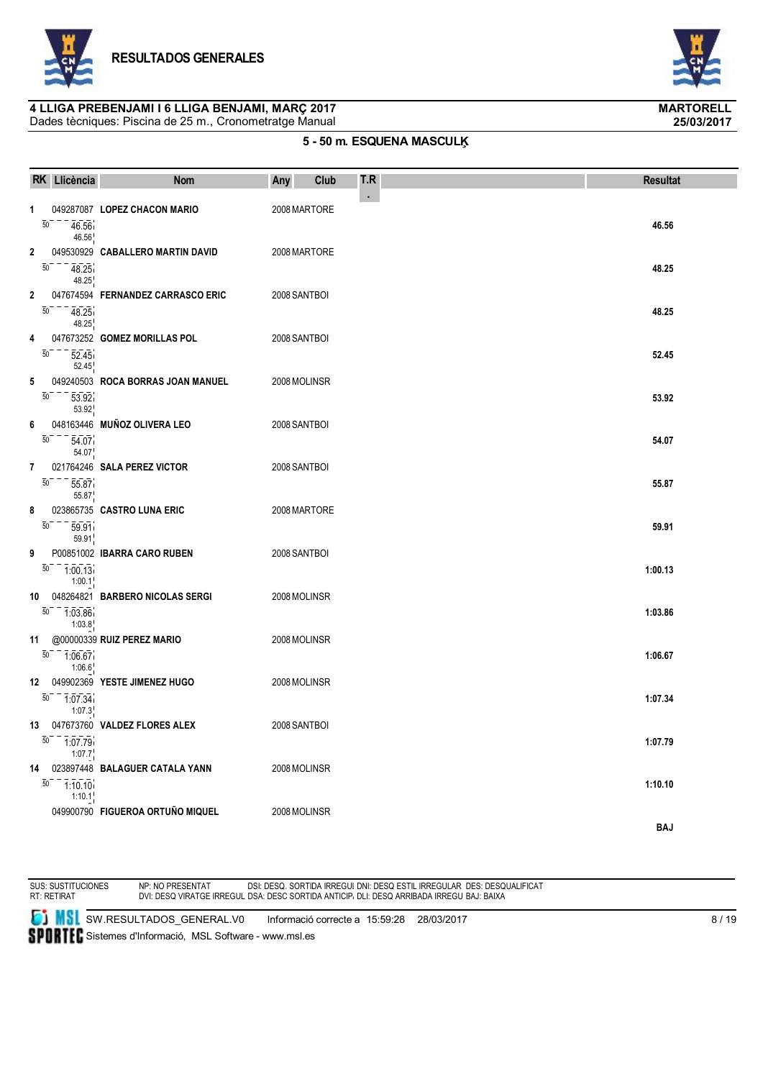



### **4 LLIGA PREBENJAMI I 6 LLIGA BENJAMI, MARÇ 2017 MARTORELL**

Dades tècniques: Piscina de 25 m., Cronometratge Manual

### **5 - 50 m. ESQUENA MASCULĶ**

|                       | RK Llicència                            | <b>Nom</b>                        | Any          | Club | T.R | <b>Resultat</b> |
|-----------------------|-----------------------------------------|-----------------------------------|--------------|------|-----|-----------------|
| 1<br>$\overline{50}$  | 46.56<br>46.56                          | 049287087 LOPEZ CHACON MARIO      | 2008 MARTORE |      | ٠   | 46.56           |
| 2<br>$\overline{50}$  | 48.25<br>48.25                          | 049530929 CABALLERO MARTIN DAVID  | 2008 MARTORE |      |     | 48.25           |
| 2<br>$\overline{50}$  | 48.25<br>48.25                          | 047674594 FERNANDEZ CARRASCO ERIC | 2008 SANTBOI |      |     | 48.25           |
| 4<br>$\overline{50}$  | 52.45<br>52.45                          | 047673252 GOMEZ MORILLAS POL      | 2008 SANTBOI |      |     | 52.45           |
| 5<br>50               | 53.92<br>53.92                          | 049240503 ROCA BORRAS JOAN MANUEL | 2008 MOLINSR |      |     | 53.92           |
| 6<br>$\overline{50}$  | 54.07<br>54.07                          | 048163446 MUÑOZ OLIVERA LEO       | 2008 SANTBOI |      |     | 54.07           |
| 7<br>$\overline{50}$  | 55.87<br>55.87                          | 021764246 SALA PEREZ VICTOR       | 2008 SANTBOI |      |     | 55.87           |
| 8<br>$\overline{50}$  | 59.91<br>59.91                          | 023865735 CASTRO LUNA ERIC        | 2008 MARTORE |      |     | 59.91           |
| 9<br>$\overline{50}$  | 1:00.13<br>1:00.1                       | P00851002 IBARRA CARO RUBEN       | 2008 SANTBOI |      |     | 1:00.13         |
| 10                    | $\overline{50}$<br>$-1.03.86$<br>1:03.8 | 048264821 BARBERO NICOLAS SERGI   | 2008 MOLINSR |      |     | 1:03.86         |
| 11<br>$\overline{50}$ | 1:06.67<br>1:06.6                       | @00000339 RUIZ PEREZ MARIO        | 2008 MOLINSR |      |     | 1:06.67         |
| 12<br>50              | 1:07.34<br>1:07.3                       | 049902369 YESTE JIMENEZ HUGO      | 2008 MOLINSR |      |     | 1:07.34         |
| 13                    | $\overline{50}$<br>1:07.79<br>1:07.7    | 047673760 VALDEZ FLORES ALEX      | 2008 SANTBOI |      |     | 1:07.79         |
| 14<br>$\overline{50}$ | 1:10.10<br>1:10.1                       | 023897448 BALAGUER CATALA YANN    | 2008 MOLINSR |      |     | 1:10.10         |
|                       |                                         | 049900790 FIGUEROA ORTUÑO MIQUEL  | 2008 MOLINSR |      |     | <b>BAJ</b>      |

SUS: SUSTITUCIONES RT: RETIRAT

NP: NO PRESENTAT DVI: DESQ VIRATGE IRREGULAR DSI: DESQ. SORTIDA IRREGULAR DSA: DESC SORTIDA ANTICIPADA DNI: DESQ ESTIL IRREGULAR DLI: DESQ ARRIBADA IRREGULAR DES: DESQUALIFICAT BAJ: BAIXA

**SI MSI** SW.RESULTADOS\_GENERAL.V0 Informació correcte a 15:59:28 28/03/2017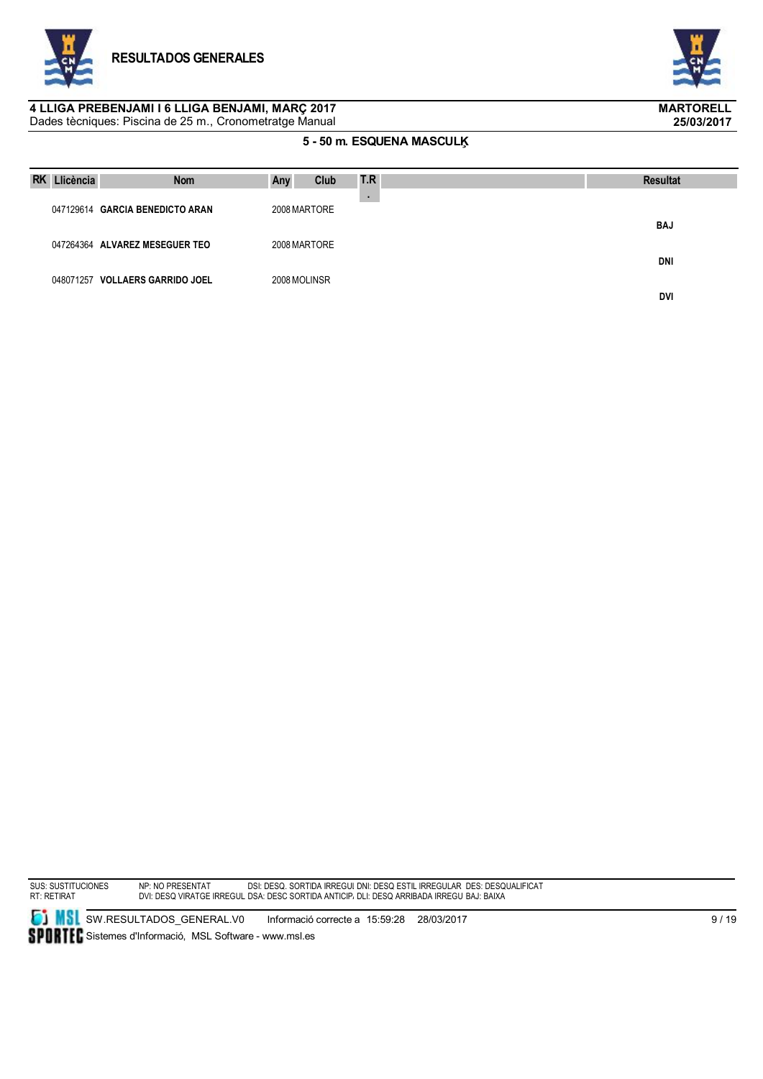



#### Dades tècniques: Piscina de 25 m., Cronometratge Manual **4 LLIGA PREBENJAMI I 6 LLIGA BENJAMI, MARÇ 2017 MARTORELL**

### **5 - 50 m. ESQUENA MASCULĶ**

| <b>RK</b> | Llicència | <b>Nom</b>                      | Any          | Club | T.R | <b>Resultat</b> |
|-----------|-----------|---------------------------------|--------------|------|-----|-----------------|
|           |           | 047129614 GARCIA BENEDICTO ARAN | 2008 MARTORE |      |     |                 |
|           |           |                                 |              |      |     | <b>BAJ</b>      |
|           |           | 047264364 ALVAREZ MESEGUER TEO  | 2008 MARTORE |      |     | DNI             |
|           |           | 048071257 VOLLAERS GARRIDO JOEL | 2008 MOLINSR |      |     |                 |
|           |           |                                 |              |      |     | <b>DVI</b>      |

SUS: SUSTITUCIONES RT: RETIRAT

NP: NO PRESENTAT DVI: DESQ VIRATGE IRREGULAR DSI: DESQ. SORTIDA IRREGULAR DSA: DESC SORTIDA ANTICIPADA DNI: DESQ ESTIL IRREGULAR DLI: DESQ ARRIBADA IRREGULAR DES: DESQUALIFICAT BAJ: BAIXA

**SI MSI** SW.RESULTADOS\_GENERAL.V0 Informació correcte a 15:59:28 28/03/2017 SPORTEC Sistemes d'Informació, MSL Software - www.msl.es

9 / 19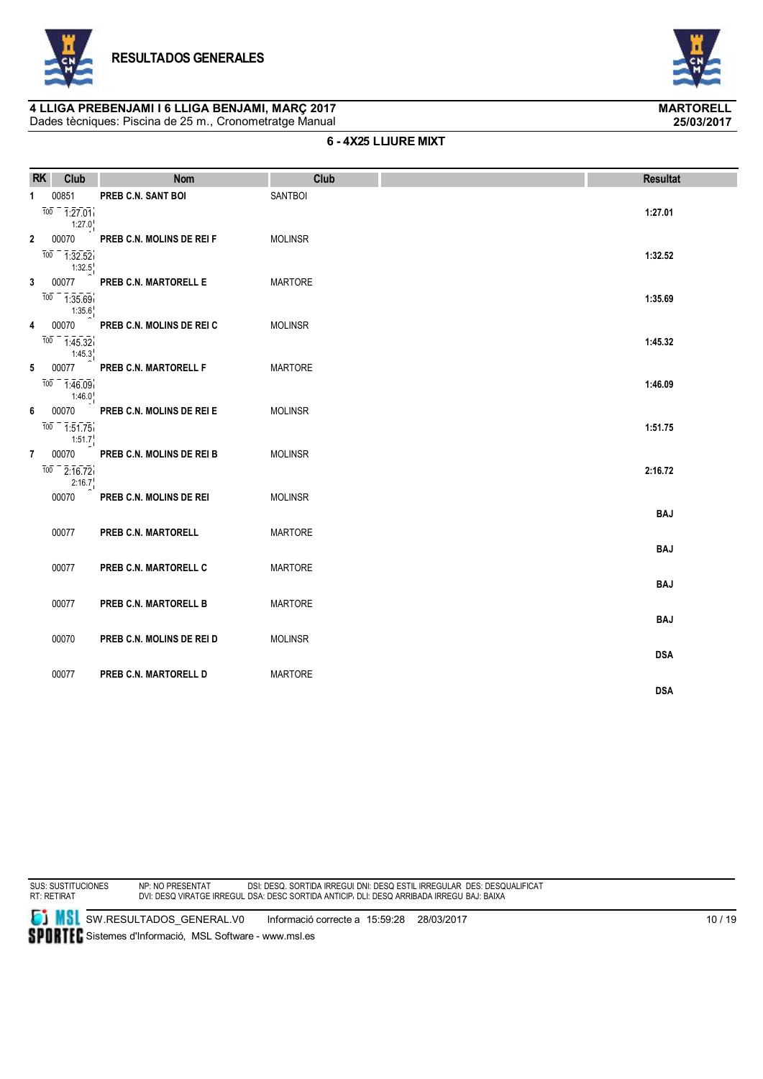





#### **6 - 4X25 LLIURE MIXT**

| <b>RK</b>    | Club                                                                             | <b>Nom</b>                                         | Club                             | <b>Resultat</b> |
|--------------|----------------------------------------------------------------------------------|----------------------------------------------------|----------------------------------|-----------------|
| $\mathbf{1}$ | 00851<br>$\frac{1}{100} - \frac{1}{127.01}$                                      | PREB C.N. SANT BOI                                 | <b>SANTBOI</b>                   | 1:27.01         |
| $\mathbf{2}$ | $1:27.0^+$<br>00070<br>$\frac{1}{100} - \frac{1}{1} \cdot 32.52$                 | PREB C.N. MOLINS DE REI F                          | <b>MOLINSR</b>                   | 1:32.52         |
| $\mathbf{3}$ | 1:32.5<br>00077<br>$\frac{1}{100} - \frac{1}{1} \cdot 35.69$                     | PREB C.N. MARTORELL E                              | <b>MARTORE</b>                   | 1:35.69         |
| 4            | 1:35.6<br>00070<br>$\frac{1}{100} - \frac{1}{1} \cdot 45.32$                     | PREB C.N. MOLINS DE REI C                          | <b>MOLINSR</b>                   | 1:45.32         |
| 5            | 1:45.3<br>00077<br>$\frac{1}{100} - \frac{1}{1} \cdot \frac{46.09}{1}$<br>1:46.0 | PREB C.N. MARTORELL F                              | <b>MARTORE</b>                   | 1:46.09         |
| 6            | 00070<br>$\frac{1}{100} - \frac{1}{1.51.75}$<br>1:51.7                           | PREB C.N. MOLINS DE REI E                          | <b>MOLINSR</b>                   | 1:51.75         |
| 7            | 00070<br>$\frac{1}{100} - \frac{1}{2} \cdot \frac{1}{16} \cdot \frac{1}{72}$     | PREB C.N. MOLINS DE REI B                          | <b>MOLINSR</b>                   | 2:16.72         |
|              | 2:16.7<br>00070                                                                  | PREB C.N. MOLINS DE REI                            | <b>MOLINSR</b>                   | <b>BAJ</b>      |
|              | 00077                                                                            | PREB C.N. MARTORELL                                | <b>MARTORE</b>                   | <b>BAJ</b>      |
|              | 00077                                                                            | PREB C.N. MARTORELL C                              | <b>MARTORE</b>                   | <b>BAJ</b>      |
|              | 00077<br>00070                                                                   | PREB C.N. MARTORELL B<br>PREB C.N. MOLINS DE REI D | <b>MARTORE</b><br><b>MOLINSR</b> | <b>BAJ</b>      |
|              | 00077                                                                            | PREB C.N. MARTORELL D                              | <b>MARTORE</b>                   | <b>DSA</b>      |
|              |                                                                                  |                                                    |                                  | <b>DSA</b>      |

SUS: SUSTITUCIONES RT: RETIRAT

NP: NO PRESENTAT DVI: DESQ VIRATGE IRREGULAR DSI: DESQ. SORTIDA IRREGULAR DSA: DESC SORTIDA ANTICIPADA DNI: DESQ ESTIL IRREGULAR DLI: DESQ ARRIBADA IRREGULAR DES: DESQUALIFICAT BAJ: BAIXA

**SI MSI** SW.RESULTADOS\_GENERAL.V0 Informació correcte a 15:59:28 28/03/2017 SPORTEC Sistemes d'Informació, MSL Software - www.msl.es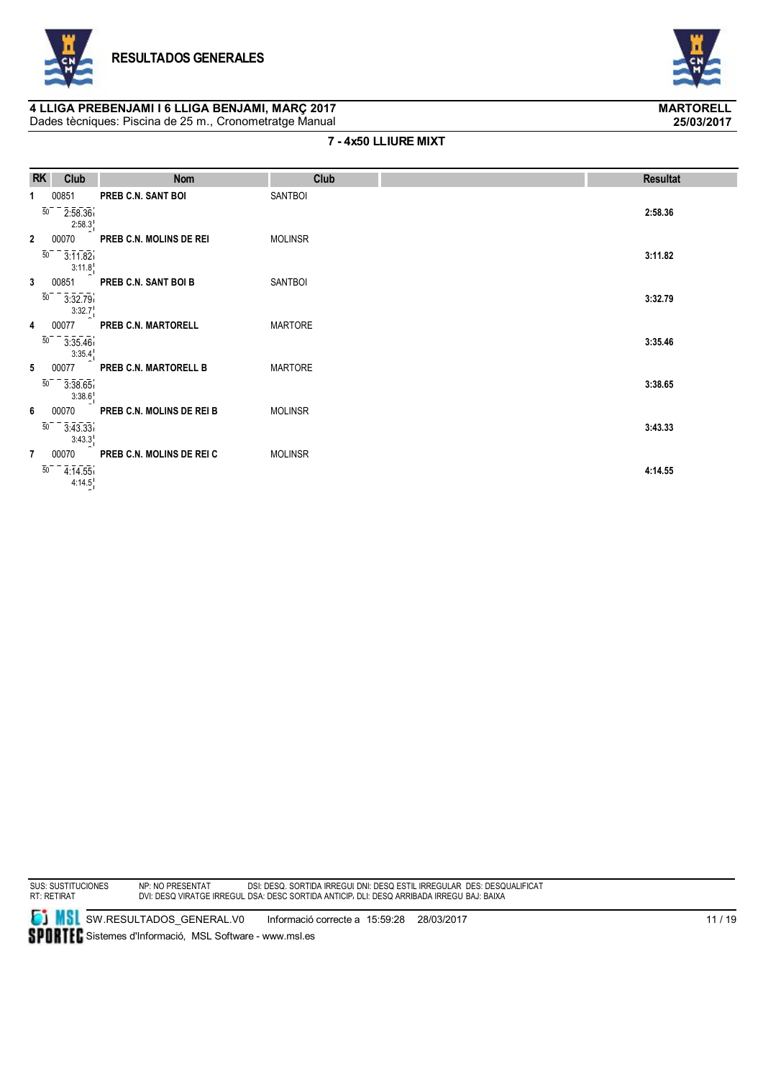





#### **7 - 4x50 LLIURE MIXT**

| <b>RK</b>      | Club                                                    | <b>Nom</b>                | Club           | <b>Resultat</b> |
|----------------|---------------------------------------------------------|---------------------------|----------------|-----------------|
|                | 00851<br>50<br>2:58.36                                  | PREB C.N. SANT BOI        | <b>SANTBOI</b> | 2:58.36         |
| $\mathbf{2}$   | 2:58.3<br>00070<br>$\overline{50}$<br>3:11.82           | PREB C.N. MOLINS DE REI   | <b>MOLINSR</b> | 3:11.82         |
| 3              | 3:11.8<br>00851<br>50<br>3:32.79                        | PREB C.N. SANT BOI B      | <b>SANTBOI</b> | 3:32.79         |
| 4              | 3:32.7<br>00077<br>$\overline{50}$<br>3:35.46<br>3:35.4 | PREB C.N. MARTORELL       | <b>MARTORE</b> | 3:35.46         |
| 5              | 00077<br>50<br>3:38.65<br>3:38.6                        | PREB C.N. MARTORELL B     | <b>MARTORE</b> | 3:38.65         |
| 6              | 00070<br>$\overline{50}$<br>3:43.33<br>3:43.3           | PREB C.N. MOLINS DE REI B | <b>MOLINSR</b> | 3:43.33         |
| $\overline{7}$ | 00070<br>50<br>4:14.55<br>4:14.5                        | PREB C.N. MOLINS DE REI C | <b>MOLINSR</b> | 4:14.55         |

SUS: SUSTITUCIONES RT: RETIRAT

NP: NO PRESENTAT DVI: DESQ VIRATGE IRREGULAR DSI: DESQ. SORTIDA IRREGULAR DSA: DESC SORTIDA ANTICIPADA DNI: DESQ ESTIL IRREGULAR DLI: DESQ ARRIBADA IRREGULAR DES: DESQUALIFICAT BAJ: BAIXA

**SI MSI** SW.RESULTADOS\_GENERAL.V0 Informació correcte a 15:59:28 28/03/2017 SPORTEC Sistemes d'Informació, MSL Software - www.msl.es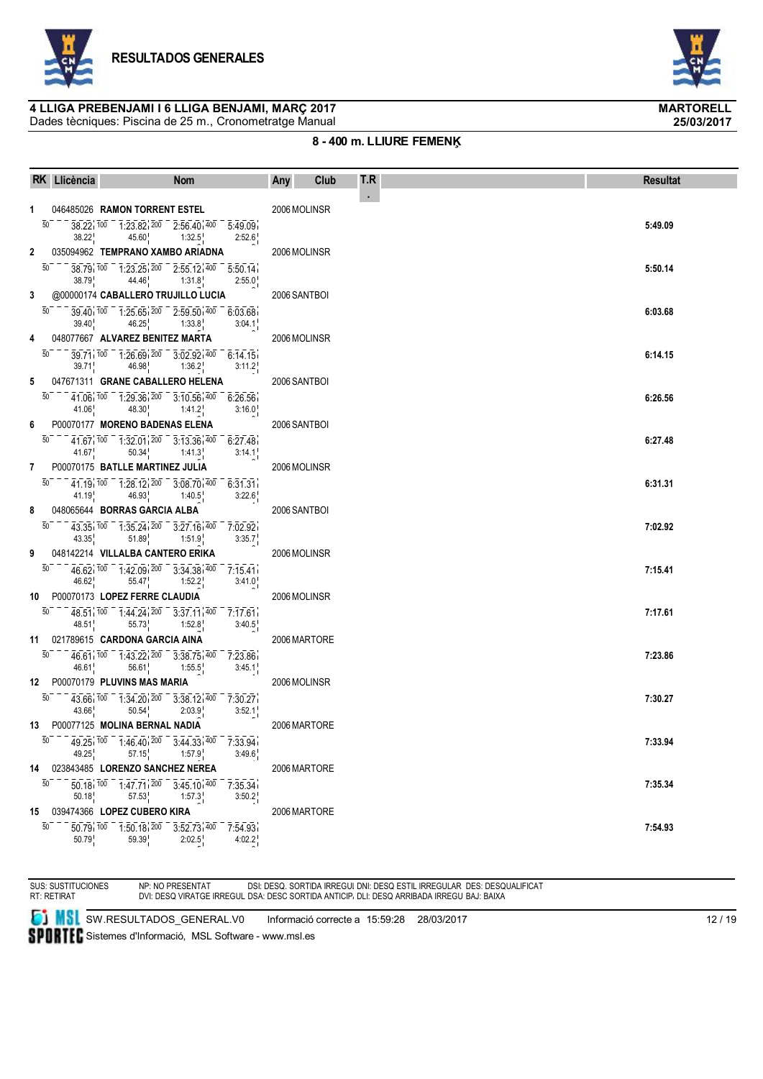





### **8 - 400 m. LLIURE FEMENĶ**

|              | RK Llicència               | <b>Nom</b>                                                                                                                                                                                | Club<br>Any  | T.R        | <b>Resultat</b> |
|--------------|----------------------------|-------------------------------------------------------------------------------------------------------------------------------------------------------------------------------------------|--------------|------------|-----------------|
| 1            |                            | 046485026 RAMON TORRENT ESTEL                                                                                                                                                             | 2006 MOLINSR | $\epsilon$ |                 |
|              |                            | 38.22 100 1:23.82 200 2:56.40 400 5:49.09                                                                                                                                                 |              |            | 5:49.09         |
|              | 38.22                      | 45.60 1:32.5<br>2:52.6                                                                                                                                                                    |              |            |                 |
| $\mathbf{2}$ |                            | 035094962 TEMPRANO XAMBO ARIADNA                                                                                                                                                          | 2006 MOLINSR |            |                 |
|              |                            | $38.79, 100 - 1.23.25, 200 - 2.55.12, 400 - 5.50.14.$<br>$38.79$ , $44.46$ , $1:31.8$<br>2:55.0                                                                                           |              |            | 5:50.14         |
| 3            |                            | @00000174 CABALLERO TRUJILLO LUCIA                                                                                                                                                        | 2006 SANTBOI |            |                 |
|              | 50                         | 39 40 100 1:25 65 200 2:59 50 400 6:03 68<br>$39.40^{1}$ 46.25 <sup>1</sup> 1:33.8 <sup>1</sup><br>3:04.1                                                                                 |              |            | 6:03.68         |
| 4            |                            | 048077667 ALVAREZ BENITEZ MARTA                                                                                                                                                           | 2006 MOLINSR |            |                 |
|              | 50                         | $39.71, 100$ $1.26.69, 200$ $3.02.92, 400$ $6.14.15$<br>$39.71$ $46.98$ $1.36.2$<br>3:11.2                                                                                                |              |            | 6:14.15         |
| 5            |                            | 047671311 GRANE CABALLERO HELENA                                                                                                                                                          | 2006 SANTBOI |            |                 |
|              | 50<br>$41.06$ <sub>1</sub> | 41.06 100 1:29.36 200 3:10.56 400 6:26.56<br>$48.30$ $1:41.2$<br>3:16.0                                                                                                                   |              |            | 6:26.56         |
| 6            |                            | P00070177 MORENO BADENAS ELENA                                                                                                                                                            | 2006 SANTBOI |            |                 |
|              |                            | $41.67, 100 - 1.32.01, 200 - 3.13.36, 400 - 6.27.48$<br>$41.67$ <sup>1</sup><br>$50.34$ <sup>1</sup> 1:41.3 <sup>1</sup><br>3:14.1                                                        |              |            | 6:27.48         |
|              |                            | 7 P00070175 BATLLE MARTINEZ JULIA                                                                                                                                                         | 2006 MOLINSR |            |                 |
|              |                            | $41.19, 100 - 1.28.12, 200 - 3.08.70, 400 - 6.31.31$<br>41.19<br>$46.93$ 1:40.5<br>3:22.6                                                                                                 |              |            | 6:31.31         |
| 8            |                            | 048065644 BORRAS GARCIA ALBA                                                                                                                                                              | 2006 SANTBOI |            |                 |
|              | 50 000                     | 43.35 100 1:35.24 200 3:27.16 400 7:02.92<br>43.35 $\frac{1}{1}$ 51.89 $\frac{1}{1}$ 1:51.9 $\frac{1}{1}$<br>3:35.7                                                                       |              |            | 7:02.92         |
| 9            |                            | 048142214 VILLALBA CANTERO ERIKA                                                                                                                                                          | 2006 MOLINSR |            |                 |
|              | 50                         | 46.62 100 1.42.09 200 3.34.38 400 7.15.41<br>46.62 55.47 1:52.2<br>3:41.0                                                                                                                 |              |            | 7:15.41         |
|              |                            | 10 P00070173 LOPEZ FERRE CLAUDIA                                                                                                                                                          | 2006 MOLINSR |            |                 |
|              | 50                         | $48.51, 100 - 1.44.24, 200 - 3.37.11, 400 - 7.17.61$<br>48.51<br>$55.73^{1}_{1}$ 1:52.8<br>3:40.5                                                                                         |              |            | 7:17.61         |
|              |                            | 11 021789615 CARDONA GARCIA AINA                                                                                                                                                          | 2006 MARTORE |            |                 |
|              |                            | 46.61 100 1.43.22 200 3.38.75 400 7.23.86<br>$46.61$ <sup>1</sup><br>56.61 1:55.5<br>3:45.1                                                                                               |              |            | 7:23.86         |
|              |                            | 12 P00070179 PLUVINS MAS MARIA                                                                                                                                                            | 2006 MOLINSR |            |                 |
|              | $43.66^{\circ}$            | $43.66$ , $100 - 1.34.20$ , $200 - 3.38.12$ , $400 - 7.30.27$<br>2:03.9<br>$50.54^{+}_{+}$<br>3:52.1                                                                                      |              |            | 7:30.27         |
|              |                            | 13 P00077125 MOLINA BERNAL NADIA                                                                                                                                                          | 2006 MARTORE |            |                 |
|              | 49.25                      | $\overline{50}$ = $\overline{49.25}$ $\overline{100}$ = $\overline{1.46.40}$ $\overline{200}$ = $\overline{3.44.33}$ $\overline{400}$ = $\overline{7.33.94}$<br>57.15<br>1:57.9<br>3:49.6 |              |            | 7:33.94         |
|              |                            | 14 023843485 LORENZO SANCHEZ NEREA                                                                                                                                                        | 2006 MARTORE |            |                 |
|              | 50<br>50.18                | $50.18, 100$ $1.47.71, 200$ $3.45.10, 400$ $7.35.34$<br>$57.53$ <sup>1</sup> 1:57.3<br>3:50.2                                                                                             |              |            | 7:35.34         |
|              |                            | 15 039474366 LOPEZ CUBERO KIRA                                                                                                                                                            | 2006 MARTORE |            |                 |
|              | 50<br>50.79                | $\overline{50.79}$ , $\overline{100}$ $\overline{1.50.18}$ , $\overline{200}$ $\overline{3.52.73}$ , $\overline{400}$ $\overline{7.54.93}$<br>59.39<br>2:02.5<br>4:02.2                   |              |            | 7:54.93         |

SUS: SUSTITUCIONES RT: RETIRAT

NP: NO PRESENTAT DVI: DESQ VIRATGE IRREGULAR DSI: DESQ. SORTIDA IRREGULAR DSA: DESC SORTIDA ANTICIPADA DNI: DESQ ESTIL IRREGULAR DLI: DESQ ARRIBADA IRREGULAR DES: DESQUALIFICAT BAJ: BAIXA

**SI** SW.RESULTADOS\_GENERAL.V0 Informació correcte a 15:59:28 28/03/2017

SPORTEC Sistemes d'Informació, MSL Software - www.msl.es

12 / 19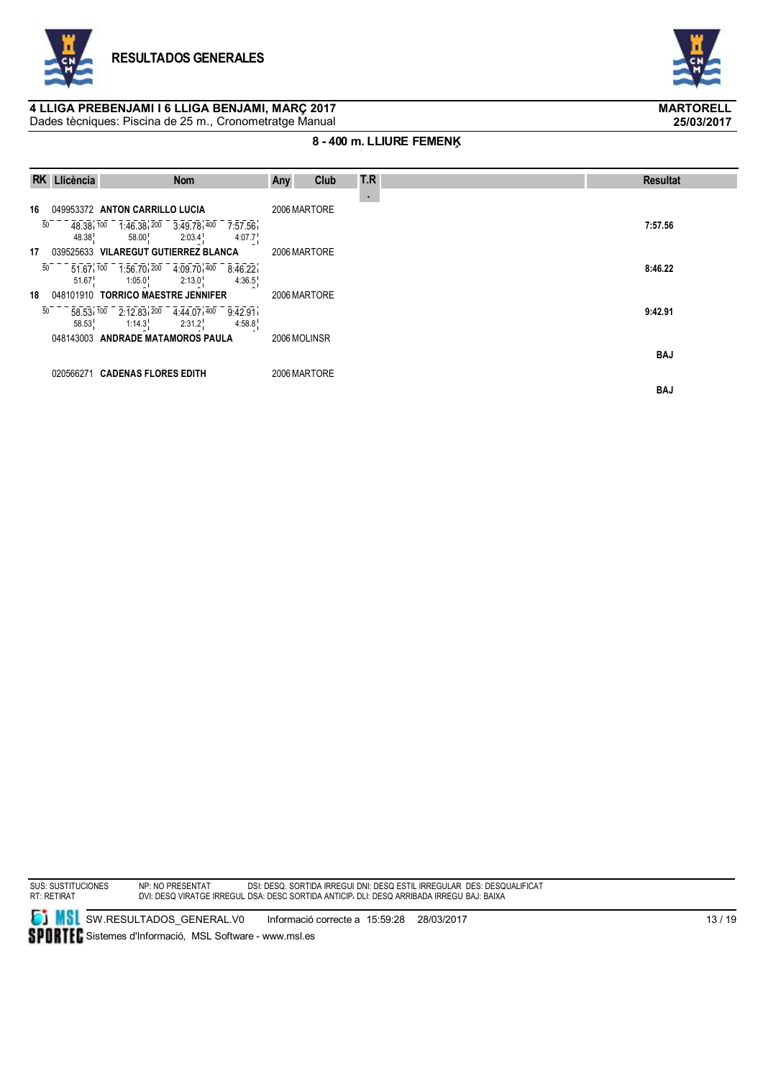



### **8 - 400 m. LLIURE FEMENĶ**

|    | RK Llicència | <b>Nom</b>                                                                                                                   | Any<br><b>Club</b> | T.R | <b>Resultat</b> |
|----|--------------|------------------------------------------------------------------------------------------------------------------------------|--------------------|-----|-----------------|
|    |              |                                                                                                                              |                    | ×.  |                 |
| 16 |              | 049953372 ANTON CARRILLO LUCIA                                                                                               | 2006 MARTORE       |     |                 |
| 50 | 48.38        | 48.38 100 1.46.38 200 3.49.78 400 7.57.56<br>4:07.7 <sup>1</sup><br>2:03.4<br>58.00                                          |                    |     | 7:57.56         |
| 17 |              | 039525633 VILAREGUT GUTIERREZ BLANCA                                                                                         | 2006 MARTORE       |     |                 |
| 50 | 51.67        | $51.67$ , $100$ $1.56.70$ , $200$ $4.09.70$ , $400$ $8.46.22$<br>1:05.0 <sup>1</sup> 2:13.0 <sup>1</sup> 4:36.5 <sup>1</sup> |                    |     | 8:46.22         |
| 18 |              | 048101910 TORRICO MAESTRE JENNIFER                                                                                           | 2006 MARTORE       |     |                 |
| 50 | 58.53        | 58.53 100 2:12.83 200 4:44.07 400 9:42.91<br>$4:58.8^{\circ}$<br>$1:14.3$ , $2:31.2$                                         |                    |     | 9:42.91         |
|    |              | 048143003 ANDRADE MATAMOROS PAULA                                                                                            | 2006 MOLINSR       |     |                 |
|    |              |                                                                                                                              |                    |     | <b>BAJ</b>      |
|    |              | 020566271 CADENAS FLORES EDITH                                                                                               | 2006 MARTORE       |     |                 |
|    |              |                                                                                                                              |                    |     | <b>BAJ</b>      |

SUS: SUSTITUCIONES RT: RETIRAT

NP: NO PRESENTAT DVI: DESQ VIRATGE IRREGULAR DSI: DESQ. SORTIDA IRREGULAR DSA: DESC SORTIDA ANTICIPADA DNI: DESQ ESTIL IRREGULAR DLI: DESQ ARRIBADA IRREGULAR DES: DESQUALIFICAT BAJ: BAIXA

**SI MSI** SW.RESULTADOS\_GENERAL.V0 Informació correcte a 15:59:28 28/03/2017 SPORTEC Sistemes d'Informació, MSL Software - www.msl.es



**25/03/2017**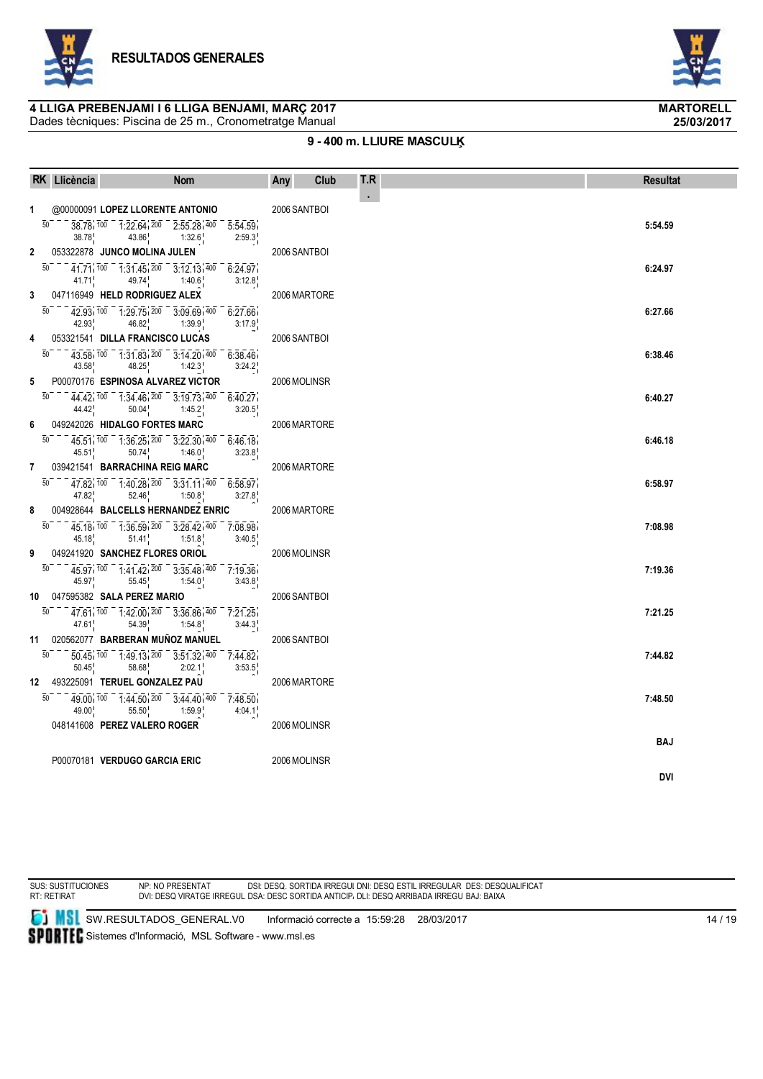

Dades tècniques: Piscina de 25 m., Cronometratge Manual



**25/03/2017**

### **9 - 400 m. LLIURE MASCULĶ**

| $\bullet$<br>@00000091 LOPEZ LLORENTE ANTONIO<br>2006 SANTBOI<br>$1 \quad$<br>50<br>38.78 100 1:22.64 200 2:55.28 400 5:54.59<br>5:54.59<br>43.86 1:32.6<br>2:59.3<br>38.78<br>an an S<br>$\mathbf{2}$<br>053322878 JUNCO MOLINA JULEN<br>2006 SANTBOI<br>$\overline{50}$<br>$41.71, 100 - 1.31.45, 200 - 3.12.13, 400 - 6.24.97$<br>6:24.97 |  |
|----------------------------------------------------------------------------------------------------------------------------------------------------------------------------------------------------------------------------------------------------------------------------------------------------------------------------------------------|--|
|                                                                                                                                                                                                                                                                                                                                              |  |
|                                                                                                                                                                                                                                                                                                                                              |  |
|                                                                                                                                                                                                                                                                                                                                              |  |
|                                                                                                                                                                                                                                                                                                                                              |  |
| 41.71 $49.74$ 1:40.6<br>3:12.8                                                                                                                                                                                                                                                                                                               |  |
| ri C<br>3<br>047116949 HELD RODRIGUEZ ALEX<br>2006 MARTORE                                                                                                                                                                                                                                                                                   |  |
| 42.93 100 1.29.75 200 3.09.69 400 6.27.66<br>50<br>6:27.66<br>$46.82$ <sup>1</sup> 1:39.9<br>42.93<br>3:17.9                                                                                                                                                                                                                                 |  |
| 053321541 DILLA FRANCISCO LUCAS<br>4<br>2006 SANTBOI                                                                                                                                                                                                                                                                                         |  |
| 50<br>$43.58$ , $100 - 1.31.83$ , $200 - 3.14.20$ , $400 - 6.38.46$<br>6:38.46<br>43.58 $48.25$ 1:42.3<br>3:24.2                                                                                                                                                                                                                             |  |
| P00070176 ESPINOSA ALVAREZ VICTOR<br>2006 MOLINSR<br>5                                                                                                                                                                                                                                                                                       |  |
| $\overline{50}$<br>44.42 100 1:34.46 200 3:19.73 400 6:40.27<br>6:40.27<br>$50.04$ $1:45.2$<br>44.42<br>3:20.5                                                                                                                                                                                                                               |  |
| 049242026 HIDALGO FORTES MARC<br>6<br>2006 MARTORE                                                                                                                                                                                                                                                                                           |  |
| $\overline{50}$<br>$45.51$ , $100 - 1.36.25$ , $200 - 3.22.30$ , $400 - 6.46.18$<br>6:46.18<br>$50.74$ <sup>1</sup> 1:46.0<br>3:23.8<br>45.51                                                                                                                                                                                                |  |
| an an T<br>039421541 BARRACHINA REIG MARC<br>$\overline{7}$<br>2006 MARTORE                                                                                                                                                                                                                                                                  |  |
| 50<br>47.82 100 1:40.28 200 3:31.11 400 6:58.97<br>6:58.97<br>$47.82$ <sub>1</sub><br>$52.46$ <sub>1</sub> $1:50.8$<br>3:27.8                                                                                                                                                                                                                |  |
| a T<br>8<br>004928644 BALCELLS HERNANDEZ ENRIC<br>2006 MARTORE                                                                                                                                                                                                                                                                               |  |
| 45.18 100 1:36.59 200 3:28.42 400 7:08.98<br>50<br>7:08.98<br>45.18<br>$51.41$ $1:51.8$<br>3:40.5                                                                                                                                                                                                                                            |  |
| 9<br>049241920 SANCHEZ FLORES ORIOL<br>2006 MOLINSR                                                                                                                                                                                                                                                                                          |  |
| $45.97$ , $100 - 1.41.42$ , $200 - 3.35.48$ , $400 - 7.19.36$<br>50<br>7:19.36<br>45.97 <sup>1</sup><br>$55.45$ <sup>1</sup> $1:54.0$ <sup>1</sup><br>3:43.8                                                                                                                                                                                 |  |
| 10 047595382 SALA PEREZ MARIO<br>2006 SANTBOI                                                                                                                                                                                                                                                                                                |  |
| $\overline{50}$<br>$47.61$ , $100 - 1.42.00$ , $200 - 3.36.86$ , $400 - 7.21.25$<br>7:21.25<br>54.39 1:54.8<br>47.61<br>3:44.3                                                                                                                                                                                                               |  |
| 11 020562077 BARBERAN MUÑOZ MANUEL<br>2006 SANTBOI                                                                                                                                                                                                                                                                                           |  |
| 50<br>$\overline{50.45}$ , $\overline{100}$ $\overline{1.49.13}$ , $\overline{200}$ $\overline{3.51.32}$ , $\overline{400}$ $\overline{7.44.82}$<br>7:44.82<br>$58.68$ <sup>1</sup> 2:02.1<br>50.45<br>3:53.5                                                                                                                                |  |
| an an T<br>493225091 TERUEL GONZALEZ PAU<br>12<br>2006 MARTORE                                                                                                                                                                                                                                                                               |  |
| $49.00$ , $100 - 1.44.50$ , $200 - 3.44.40$ , $400 - 7.48.50$<br>50<br>7:48.50<br>49.00 <sub>1</sub><br>$55.50$ <sub>1</sub> $1.59.9$ <sub>1</sub><br>4:04.1                                                                                                                                                                                 |  |
| 048141608 PEREZ VALERO ROGER<br>2006 MOLINSR                                                                                                                                                                                                                                                                                                 |  |
| BAJ                                                                                                                                                                                                                                                                                                                                          |  |
| P00070181 VERDUGO GARCIA ERIC<br>2006 MOLINSR<br><b>DVI</b>                                                                                                                                                                                                                                                                                  |  |



NP: NO PRESENTAT DVI: DESQ VIRATGE IRREGULAR DSI: DESQ. SORTIDA IRREGULAR DSA: DESC SORTIDA ANTICIPADA DNI: DESQ ESTIL IRREGULAR DLI: DESQ ARRIBADA IRREGULAR DES: DESQUALIFICAT BAJ: BAIXA

**SI** SW.RESULTADOS\_GENERAL.V0 Informació correcte a 15:59:28 28/03/2017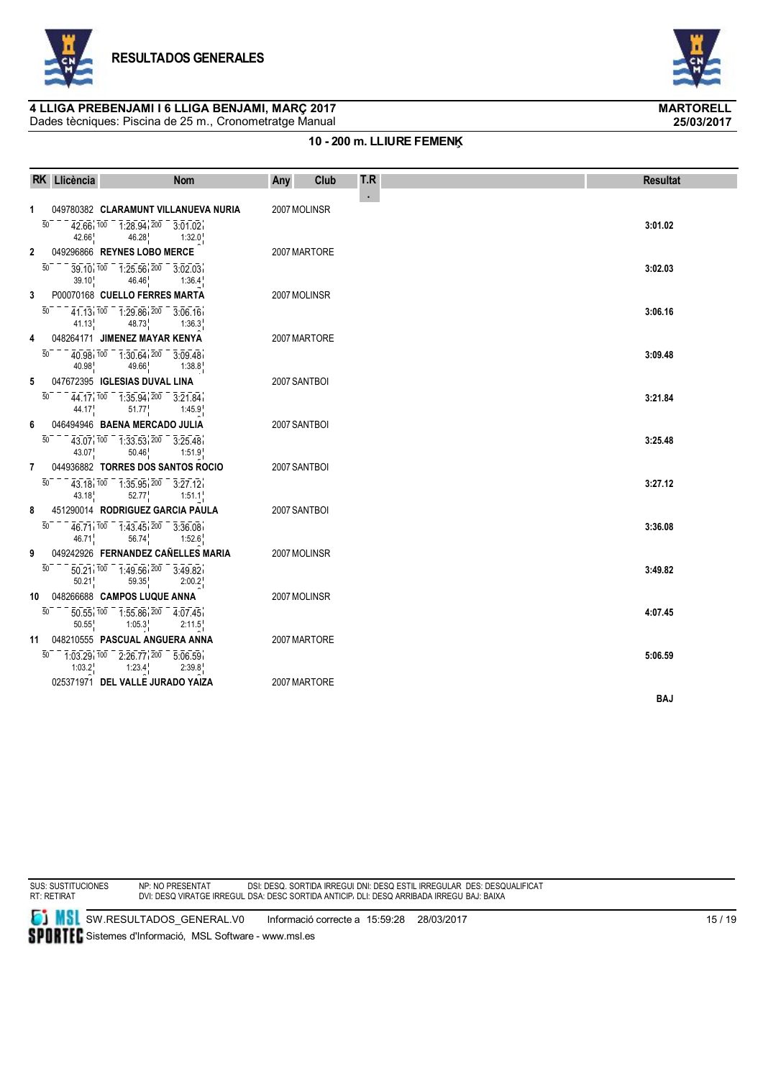

Dades tècniques: Piscina de 25 m., Cronometratge Manual



**25/03/2017**

### **10 - 200 m. LLIURE FEMENĶ**

|                | RK Llicència             | <b>Nom</b>                                                                                                                                               | Club<br>Any  | T.R            | <b>Resultat</b> |
|----------------|--------------------------|----------------------------------------------------------------------------------------------------------------------------------------------------------|--------------|----------------|-----------------|
| $\mathbf{1}$   |                          | 049780382 CLARAMUNT VILLANUEVA NURIA                                                                                                                     | 2007 MOLINSR | $\blacksquare$ |                 |
|                | 50<br>42.66              | $42.66$ , $100 - 1.28.94$ , $200 - 3.01.02$<br>$46.28$ <sub>1</sub> 1:32.0                                                                               |              |                | 3:01.02         |
| $\mathbf{2}$   |                          | 049296866 REYNES LOBO MERCE                                                                                                                              | 2007 MARTORE |                |                 |
|                | $\overline{50}$<br>39.10 | $39.10$ , $100 - 1.25.56$ , $200 - 3.02.03$<br>46.46<br>1:36.4                                                                                           |              |                | 3:02.03         |
| 3              |                          | P00070168 CUELLO FERRES MARTA                                                                                                                            | 2007 MOLINSR |                |                 |
|                | 50                       | $41.13$ , $100 - 1.29.86$ , $200 - 3.06.16$<br>41.13 $48.73$ 1:36.3                                                                                      |              |                | 3:06.16         |
| 4              |                          | 048264171 JIMENEZ MAYAR KENYA                                                                                                                            | 2007 MARTORE |                |                 |
|                | 50<br>40.98              | $40.98$ , $100 - 1.30.64$ , $200 - 3.09.48$<br>49.66<br>1:38.8                                                                                           |              |                | 3:09.48         |
| 5              |                          | 047672395 IGLESIAS DUVAL LINA                                                                                                                            | 2007 SANTBOI |                |                 |
|                | 50                       | $44.17$ , $100 - 1.35.94$ , $200 - 3.21.84$<br>44.17 $51.77$ 1:45.9                                                                                      |              |                | 3:21.84         |
| 6              |                          | 046494946 BAENA MERCADO JULIA                                                                                                                            | 2007 SANTBOI |                |                 |
|                | 50                       | $\overline{43.07}$ , $\overline{100}$ $\overline{1}$ , $\overline{33.53}$ , $\overline{200}$ $\overline{3}$ , $\overline{25.48}$<br>43.07 $50.46$ 1:51.9 |              |                | 3:25.48         |
| $\overline{7}$ |                          | 044936882 TORRES DOS SANTOS ROCIO                                                                                                                        | 2007 SANTBOI |                |                 |
|                | 50                       | $43.18$ , $100$ $1.35.95$ , $200$ $3.27.12$<br>43.18 52.77 1:51.1                                                                                        |              |                | 3:27.12         |
| 8              |                          | 451290014 RODRIGUEZ GARCIA PAULA                                                                                                                         | 2007 SANTBOI |                |                 |
|                | 50                       | $46.71$ , $100 - 1.43.45$ , $200 - 3.36.08$<br>46.71 $56.74$ 1:52.6                                                                                      |              |                | 3:36.08         |
| 9              |                          | 049242926 FERNANDEZ CAÑELLES MARIA                                                                                                                       | 2007 MOLINSR |                |                 |
|                | 50                       | $\overline{50.21}$ , $\overline{100}$ $\overline{1.49.56}$ , $\overline{200}$ $\overline{3.49.82}$<br>50.21<br>59.35<br>2:00.2                           |              |                | 3:49.82         |
|                |                          | 10 048266688 CAMPOS LUQUE ANNA                                                                                                                           | 2007 MOLINSR |                |                 |
|                | 50<br>50.55              | $\overline{50.55}$ , $\overline{100}$ - $\overline{1.55.86}$ , $\overline{200}$ - $\overline{4.07.45}$<br>1:05.3<br>2:11.5                               |              |                | 4:07.45         |
|                |                          | 11 048210555 PASCUAL ANGUERA ANNA                                                                                                                        | 2007 MARTORE |                |                 |
|                | 50<br>$1:03.2^+$         | $-1.03.29, 100 - 2.26.77, 200 - 5.06.59$<br>$1:23.4^{\circ}$<br>2:39.8                                                                                   |              |                | 5:06.59         |
|                |                          | 025371971 DEL VALLE JURADO YAIZA                                                                                                                         | 2007 MARTORE |                |                 |
|                |                          |                                                                                                                                                          |              |                | <b>BAJ</b>      |

SUS: SUSTITUCIONES RT: RETIRAT

NP: NO PRESENTAT DVI: DESQ VIRATGE IRREGULAR DSI: DESQ. SORTIDA IRREGULAR DSA: DESC SORTIDA ANTICIPADA DNI: DESQ ESTIL IRREGULAR DLI: DESQ ARRIBADA IRREGULAR DES: DESQUALIFICAT BAJ: BAIXA

**SI MSI** SW.RESULTADOS\_GENERAL.V0 Informació correcte a 15:59:28 28/03/2017 SPORTEC Sistemes d'Informació, MSL Software - www.msl.es

 $15 / 19$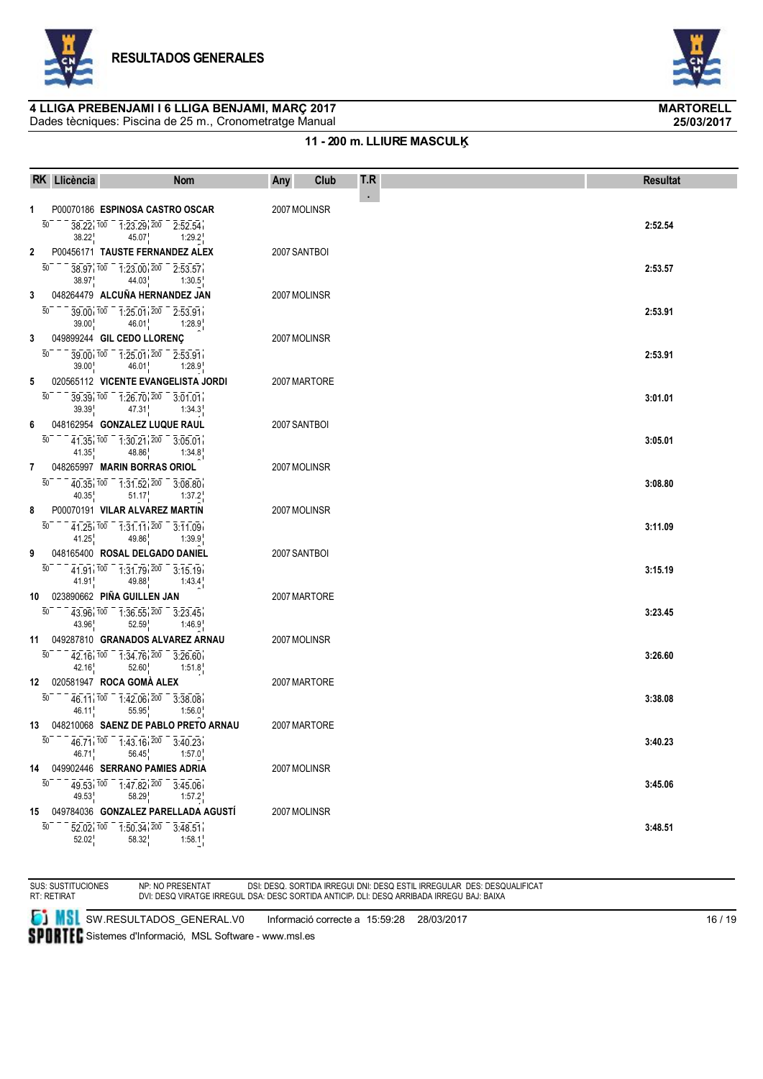

Dades tècniques: Piscina de 25 m., Cronometratge Manual



**25/03/2017**

### **11 - 200 m. LLIURE MASCULĶ**

|              | RK Llicència                                                                                                                                                      | <b>Nom</b>                    | Any          | Club | T.R        | <b>Resultat</b> |
|--------------|-------------------------------------------------------------------------------------------------------------------------------------------------------------------|-------------------------------|--------------|------|------------|-----------------|
| 1            | P00070186 ESPINOSA CASTRO OSCAR                                                                                                                                   |                               | 2007 MOLINSR |      | $\epsilon$ |                 |
|              | 50<br>$38.22, 100 - 1.23.29, 200 - 2.52.54$<br>38.22                                                                                                              | 45.07 1:29.2                  |              |      |            | 2:52.54         |
| $\mathbf{2}$ | P00456171 TAUSTE FERNANDEZ ALEX                                                                                                                                   |                               | 2007 SANTBOI |      |            |                 |
|              | 50<br>$38.97$ , $100 - 1.23.00$ , $200 - 2.53.57$<br>$38.97$ $44.03$ $1:30.5$                                                                                     |                               |              |      |            | 2:53.57         |
| 3            | 048264479 ALCUÑA HERNANDEZ JAN                                                                                                                                    |                               | 2007 MOLINSR |      |            |                 |
|              | $\overline{50}$<br>$39.00, 100 - 1.25.01, 200 - 2.53.91$<br>$39.00\frac{1}{1}$ 46.01 $1:28.9\frac{1}{1}$                                                          |                               |              |      |            | 2:53.91         |
| 3            | 049899244 GIL CEDO LLORENÇ                                                                                                                                        |                               | 2007 MOLINSR |      |            |                 |
|              | 39.00 100 1:25.01 200 2:53.91<br>50<br>$39.00^{1}_{1}$ 46.01 <sup>1</sup> 1:28.9 <sup>1</sup>                                                                     |                               |              |      |            | 2:53.91         |
| 5            | 020565112 VICENTE EVANGELISTA JORDI                                                                                                                               |                               | 2007 MARTORE |      |            |                 |
|              | 50<br>39 39 100 1:26 70 200 3:01:01<br>$39.391$ 47.31 <sup>1</sup> 1:34.3 <sup>1</sup>                                                                            |                               |              |      |            | 3:01.01         |
| 6            | 048162954 GONZALEZ LUQUE RAUL                                                                                                                                     |                               | 2007 SANTBOI |      |            |                 |
|              | $41.35$ , $100 - 1.30.21$ , $200 - 3.05.01$<br>50<br>41.35 48.86 1:34.8                                                                                           |                               |              |      |            | 3:05.01         |
| 7            | 048265997 MARIN BORRAS ORIOL                                                                                                                                      |                               | 2007 MOLINSR |      |            |                 |
|              | $40.35, 100 - 1.31.52, 200 - 3.08.80$<br>50<br>40.35 $\frac{1}{1}$ 51.17 $\frac{1}{1}$ 1:37.2 $\frac{1}{1}$                                                       |                               |              |      |            | 3:08.80         |
| 8            | P00070191 VILAR ALVAREZ MARTIN                                                                                                                                    |                               | 2007 MOLINSR |      |            |                 |
|              | $\overline{50}$ $\overline{41.25}$ , $\overline{100}$ $\overline{1.31.11}$ , $\overline{200}$ $\overline{3.11.09}$<br>$41.25$ $49.86$                             | 1:39.9                        |              |      |            | 3:11.09         |
| 9            | 048165400 ROSAL DELGADO DANIEL                                                                                                                                    |                               | 2007 SANTBOI |      |            |                 |
|              | $-41.91$ , $100 - 1.31.79$ , $200 - 3.15.19$<br>50<br>41.91 $49.88$ 1:43.4                                                                                        |                               |              |      |            | 3:15.19         |
|              | 10 023890662 PIÑA GUILLEN JAN                                                                                                                                     |                               | 2007 MARTORE |      |            |                 |
|              | $\overline{43.96}$ , $\overline{100}$ $\overline{136.55}$ , $\overline{200}$ $\overline{3.23.45}$<br>50<br>$43.96$ <sup>1</sup>                                   | $52.59$ $1:46.9$              |              |      |            | 3:23.45         |
|              | 11 049287810 GRANADOS ALVAREZ ARNAU                                                                                                                               |                               | 2007 MOLINSR |      |            |                 |
|              | $42.16\overline{100}$ $1.34.76\overline{100}$ $3.26.60$<br>50<br>$42.16$ <sup>1</sup> , $52.60$ <sup>1</sup>                                                      | 1:51.8                        |              |      |            | 3:26.60         |
|              | 12 020581947 ROCA GOMA ALEX                                                                                                                                       |                               | 2007 MARTORE |      |            |                 |
|              | $46.11$ , $100 - 1.42.06$ , $200 - 3.38.08$<br>50<br>46.11 <sup>1</sup>                                                                                           | $55.95$ <sub>1</sub> 1:56.0   |              |      |            | 3:38.08         |
|              | 13 048210068 SAENZ DE PABLO PRETO ARNAU                                                                                                                           |                               | 2007 MARTORE |      |            |                 |
|              | $\overline{50}$ - - $\overline{46.71}$ , $\overline{100}$ - $\overline{1}$ , $\overline{43.16}$ , $\overline{200}$ - $\overline{3}$ , $\overline{40.23}$<br>46.71 | $56.45$ 1:57.0                |              |      |            | 3:40.23         |
|              | 14 049902446 SERRANO PAMIES ADRIA                                                                                                                                 |                               | 2007 MOLINSR |      |            |                 |
|              | $49.53$ $100$ $1.47.82$ $200$ $3.45.06$<br>50<br>49.53 <sup>1</sup>                                                                                               | $58.29$ <sub>1</sub> $1:57.2$ |              |      |            | 3:45.06         |
|              | 15 049784036 GONZALEZ PARELLADA AGUSTÍ                                                                                                                            |                               | 2007 MOLINSR |      |            |                 |
|              | $\overline{52.02}$ , $\overline{100}$ $\overline{1.50.34}$ , $\overline{200}$ $\overline{3.48.51}$<br>50<br>52.02<br>58.32                                        | 1:58.1                        |              |      |            | 3:48.51         |

SUS: SUSTITUCIONES RT: RETIRAT NP: NO PRESENTAT DVI: DESQ VIRATGE IRREGULAR DSI: DESQ. SORTIDA IRREGULAR DSA: DESC SORTIDA ANTICIPADA DNI: DESQ ESTIL IRREGULAR DLI: DESQ ARRIBADA IRREGULAR DES: DESQUALIFICAT BAJ: BAIXA

**SI MSI** SW.RESULTADOS\_GENERAL.V0 Informació correcte a 15:59:28 28/03/2017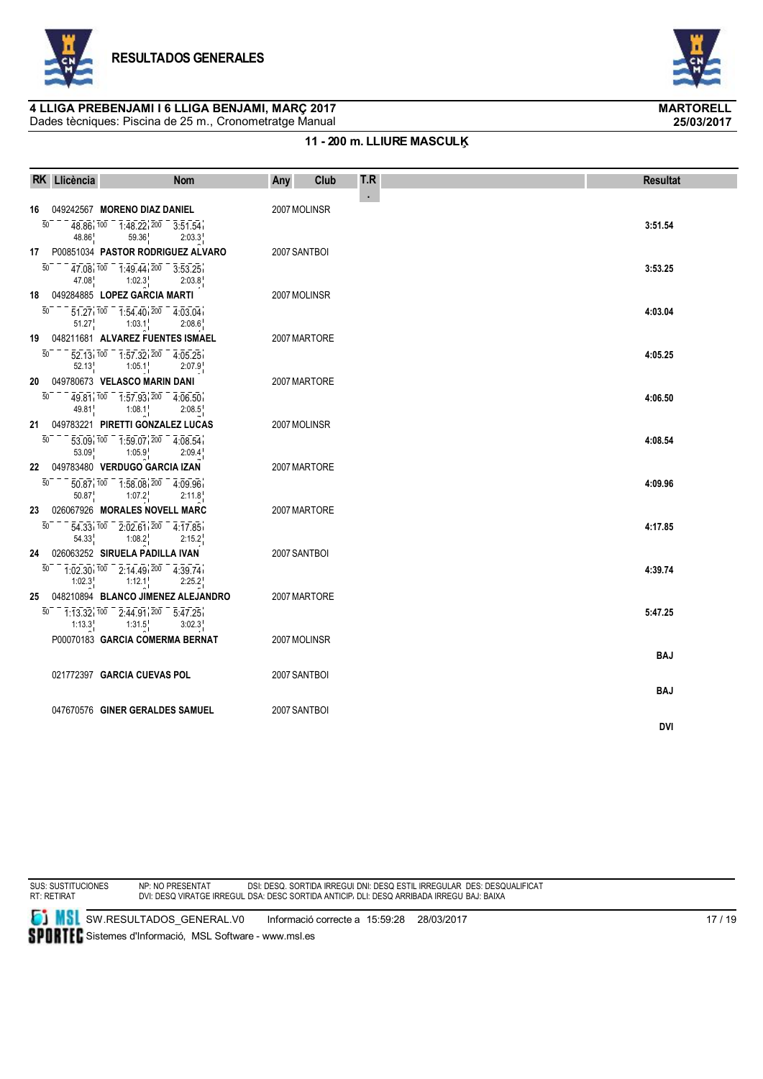

Dades tècniques: Piscina de 25 m., Cronometratge Manual



**25/03/2017**

### **11 - 200 m. LLIURE MASCULĶ**

|    | RK Llicència             | <b>Nom</b>                                                                                                                                                                                                                                                                               | Club<br>Any  | T.R        | <b>Resultat</b> |
|----|--------------------------|------------------------------------------------------------------------------------------------------------------------------------------------------------------------------------------------------------------------------------------------------------------------------------------|--------------|------------|-----------------|
|    |                          |                                                                                                                                                                                                                                                                                          |              | $\epsilon$ |                 |
|    | 50<br>48.86              | 16 049242567 MORENO DIAZ DANIEL<br>$48.86 \cdot 100 = 1.48.22 \cdot 200 = 3.51.54$<br>59.36<br>2:03.3                                                                                                                                                                                    | 2007 MOLINSR |            | 3:51.54         |
|    | $\overline{50}$<br>47.08 | 17 P00851034 PASTOR RODRIGUEZ ALVARO<br>$47.08$ , $100 - 1.49.44$ , $200 - 3.53.25$<br>1:02.3<br>2:03.8                                                                                                                                                                                  | 2007 SANTBOI |            | 3:53.25         |
|    |                          | 18 049284885 LOPEZ GARCIA MARTI                                                                                                                                                                                                                                                          | 2007 MOLINSR |            |                 |
|    |                          | $\overline{50}$ = $\overline{51}$ $\overline{27}$ $\overline{100}$ = $\overline{1}$ $\overline{54}$ $\overline{40}$ $\overline{200}$ = $\overline{4}$ $\overline{03}$ $\overline{04}$<br>$51.27^{1}_{1}$ $1:03.1^{1}_{1}$<br>2:08.6                                                      |              |            | 4:03.04         |
|    | 50                       | 19 048211681 ALVAREZ FUENTES ISMAEL<br>$52.13$ , $100 - 1.57$ , $32$ , $200 - 4.05$ , $25$<br>$52.13^{1}_{1}$ 1:05.1<br>2:07.9                                                                                                                                                           | 2007 MARTORE |            | 4:05.25         |
|    | 50                       | 20 049780673 VELASCO MARIN DANI<br>49.81 100 1:57.93 200 4:06.50<br>49.81 $1:08.1$<br>2:08.5                                                                                                                                                                                             | 2007 MARTORE |            | 4:06.50         |
|    |                          | 21 049783221 PIRETTI GONZALEZ LUCAS                                                                                                                                                                                                                                                      | 2007 MOLINSR |            |                 |
| 50 |                          | $\overline{53.09}$ , $\overline{100}$ $\overline{100}$ $\overline{10.59.07}$ , $\overline{200}$ $\overline{4.08.54}$<br>$53.09$ <sub>1</sub> $1:05.9$ <sub>1</sub><br>2:09.4                                                                                                             |              |            | 4:08.54         |
|    |                          | 22 049783480 VERDUGO GARCIA IZAN                                                                                                                                                                                                                                                         | 2007 MARTORE |            |                 |
|    | 50                       | $\overline{50.87}$ , $\overline{100}$ $\overline{10.58.08}$ , $\overline{200}$ $\overline{4.09.96}$<br>$50.87$ <sub>1</sub> $1:07.2$ <sub>1</sub><br>2:11.8                                                                                                                              |              |            | 4:09.96         |
| 50 | 54.33                    | 23 026067926 MORALES NOVELL MARC<br>$\overline{54.33}$ , $\overline{100}$ $\overline{2.02.61}$ , $\overline{200}$ $\overline{4.17.85}$<br>$1:08.2^+$<br>2:15.2                                                                                                                           | 2007 MARTORE |            | 4:17.85         |
| 24 |                          | 026063252 SIRUELA PADILLA IVAN                                                                                                                                                                                                                                                           | 2007 SANTBOI |            |                 |
|    | 50<br>1:02.3             | $1.02.30$ , $100 - 2.14.49$ , $200 - 4.39.74$<br>1:12.1<br>2:25.2                                                                                                                                                                                                                        |              |            | 4:39.74         |
|    |                          | 25 048210894 BLANCO JIMENEZ ALEJANDRO<br>$\overline{50}$ - $\overline{1}\cdot\overline{13}\cdot\overline{32}$ $\overline{100}$ - $\overline{2}\cdot\overline{44}\cdot\overline{91}$ $\overline{200}$ - $\overline{5}\cdot\overline{47}\cdot\overline{25}$<br>$1:13.3$ $1:31.5$<br>3:02.3 | 2007 MARTORE |            | 5:47.25         |
|    |                          | P00070183 GARCIA COMERMA BERNAT                                                                                                                                                                                                                                                          | 2007 MOLINSR |            |                 |
|    |                          | 021772397 GARCIA CUEVAS POL                                                                                                                                                                                                                                                              | 2007 SANTBOI |            | <b>BAJ</b>      |
|    |                          |                                                                                                                                                                                                                                                                                          |              |            | BAJ             |
|    |                          | 047670576 GINER GERALDES SAMUEL                                                                                                                                                                                                                                                          | 2007 SANTBOI |            | <b>DVI</b>      |

SUS: SUSTITUCIONES RT: RETIRAT

NP: NO PRESENTAT DVI: DESQ VIRATGE IRREGULAR DSI: DESQ. SORTIDA IRREGULAR DSA: DESC SORTIDA ANTICIPADA DNI: DESQ ESTIL IRREGULAR DLI: DESQ ARRIBADA IRREGULAR DES: DESQUALIFICAT BAJ: BAIXA

**SI MSI** SW.RESULTADOS\_GENERAL.V0 Informació correcte a 15:59:28 28/03/2017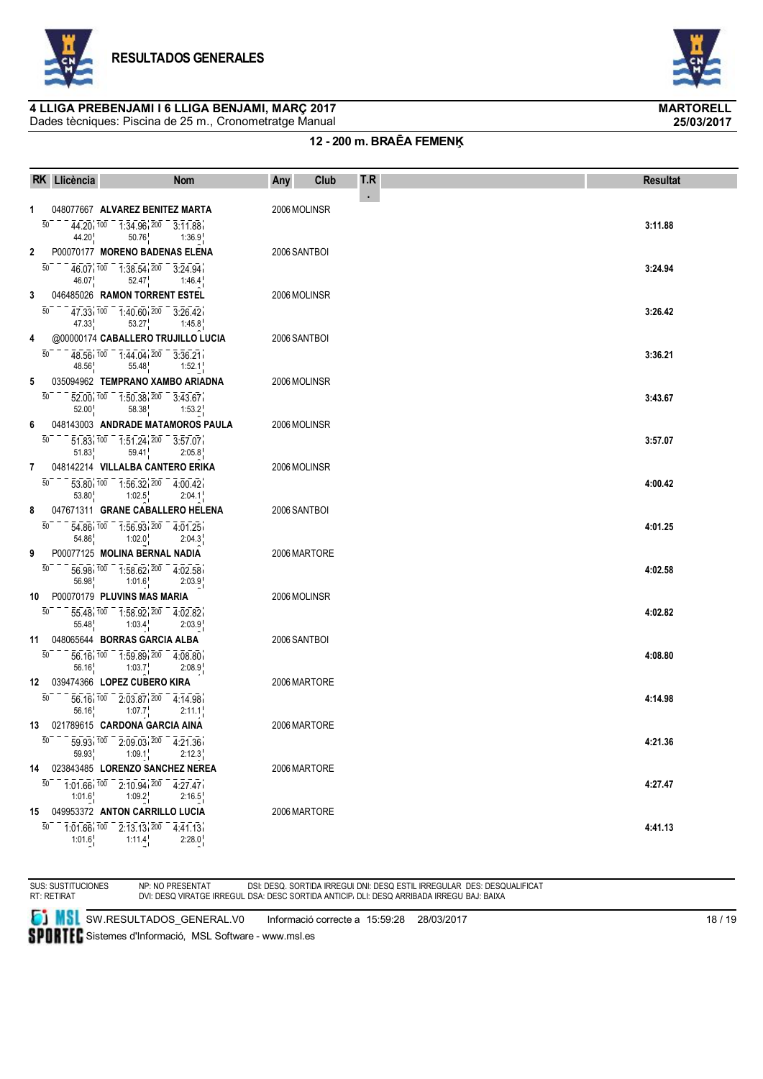

Dades tècniques: Piscina de 25 m., Cronometratge Manual



**25/03/2017**

### **12 - 200 m. BRAĒA FEMENĶ**

|              | RK Llicència                | <b>Nom</b>                                                                                                                                       | Club<br>Any  | T.R | <b>Resultat</b> |
|--------------|-----------------------------|--------------------------------------------------------------------------------------------------------------------------------------------------|--------------|-----|-----------------|
| 1            |                             | 048077667 ALVAREZ BENITEZ MARTA                                                                                                                  | 2006 MOLINSR | ۰.  |                 |
|              | $\overline{50}$<br>44.20    | $44.20\overline{\smash{100}}$ $\overline{100}$ $\overline{1034.96}$ $\overline{200}$ $\overline{301.188}$<br>$50.76$ 1:36.9                      |              |     | 3:11.88         |
| $\mathbf{2}$ |                             | P00070177 MORENO BADENAS ELENA                                                                                                                   | 2006 SANTBOI |     |                 |
|              | 50                          | $46.07$ , $100 - 1.38.54$ , $200 - 3.24.94$<br>46.07 <sup>1</sup><br>$52.47$ 1:46.4                                                              |              |     | 3:24.94         |
| 3            |                             | 046485026 RAMON TORRENT ESTEL                                                                                                                    | 2006 MOLINSR |     |                 |
|              | $50-$<br>47.33 <sup>1</sup> | $47.33_{1}$ $100 - 1.40$ 60 $1200 - 3.26$ 42<br>$53.27$ 1:45.8                                                                                   |              |     | 3:26.42         |
| 4            |                             | @00000174 CABALLERO TRUJILLO LUCIA                                                                                                               | 2006 SANTBOI |     |                 |
|              | 50<br>48.56                 | 48.56 100 1.44.04 200 3.36.21<br>$55.48$ 1:52.1                                                                                                  |              |     | 3:36.21         |
| 5            |                             | 035094962 TEMPRANO XAMBO ARIADNA                                                                                                                 | 2006 MOLINSR |     |                 |
|              | 50<br>52.00                 | $\overline{52.00}$ , $\overline{100}$ $\overline{10.50.38}$ , $\overline{200}$ $\overline{3.43.67}$<br>$58.38$ <sub>1</sub><br>1:53.2            |              |     | 3:43.67         |
| 6            |                             | 048143003 ANDRADE MATAMOROS PAULA                                                                                                                | 2006 MOLINSR |     |                 |
|              | 50<br>51.83                 | $\overline{51.83}$ , $\overline{100}$ $\overline{1.51.24}$ , $\overline{200}$ $\overline{3.57.07}$<br>59.41<br>2:05.8                            |              |     | 3:57.07         |
|              |                             | 7 048142214 VILLALBA CANTERO ERIKA                                                                                                               | 2006 MOLINSR |     |                 |
|              | 50                          | $\overline{53.80}$ , $\overline{100}$ $\overline{10.56.32}$ , $\overline{200}$ $\overline{4.00.42}$<br>$53.80$ $1:02.5$<br>2:04.1                |              |     | 4:00.42         |
| 8            |                             | 047671311 GRANE CABALLERO HELENA                                                                                                                 | 2006 SANTBOI |     |                 |
|              | 50                          | $\overline{54.86}$ , $\overline{100}$ $\overline{10.56.93}$ , $\overline{200}$ $\overline{4.01.25}$<br>54.86 1:02.0<br>2:04.3                    |              |     | 4:01.25         |
| 9            |                             | P00077125 MOLINA BERNAL NADIA                                                                                                                    | 2006 MARTORE |     |                 |
|              | 50<br>56.98                 | 56.98 100 1:58.62 200 4:02.58<br>1:01.6<br>2:03.9                                                                                                |              |     | 4:02.58         |
|              |                             | 10 P00070179 PLUVINS MAS MARIA                                                                                                                   | 2006 MOLINSR |     |                 |
|              | $50^{-}$                    | $\overline{55.48}$ , $\overline{100}$ $\overline{1.58.92}$ , $\overline{200}$ $\overline{4.02.82}$<br>$55.48^{\circ}$ $1:03.4^{\circ}$<br>2:03.9 |              |     | 4:02.82         |
|              |                             | 11 048065644 BORRAS GARCIA ALBA                                                                                                                  | 2006 SANTBOI |     |                 |
|              | 50<br>56.16                 | $\overline{56.16}$ , $\overline{100}$ $\overline{10.59.89}$ , $\overline{200}$ $\overline{4.08.80}$<br>1:03.7<br>2:08.9                          |              |     | 4:08.80         |
|              |                             | 12 039474366 LOPEZ CUBERO KIRA                                                                                                                   | 2006 MARTORE |     |                 |
|              | 50                          | $\overline{56.16}$ , $\overline{100}$ $\overline{2.03.87}$ , $\overline{200}$ $\overline{4.14.98}$<br>$56.16$ 1:07.7<br>2:11.1                   |              |     | 4:14.98         |
|              |                             | 13 021789615 CARDONA GARCIA AINA                                                                                                                 | 2006 MARTORE |     |                 |
|              | 59.93                       | $\overline{50}$ - - - $\overline{59.93}$ , $\overline{100}$ - 2:09.03, $\overline{200}$ - 4:21.36<br>$1:09.1$ 2:12.3                             |              |     | 4:21.36         |
|              |                             | 14 023843485 LORENZO SANCHEZ NEREA                                                                                                               | 2006 MARTORE |     |                 |
|              | 1:01.6                      | $\overline{50}$ 7:01.66 $\overline{100}$ 7:10.94 $\overline{200}$ 7:27.47<br>1:09.2<br>2:16.5                                                    |              |     | 4:27.47         |
|              |                             | 15 049953372 ANTON CARRILLO LUCIA                                                                                                                | 2006 MARTORE |     |                 |
|              | 1:01.6                      | $\overline{50}$ $\overline{101.66}$ $\overline{100}$ $\overline{201.313}$ $\overline{200}$ $\overline{40.41.13}$<br>$1:11.4^{\dagger}$<br>2:28.0 |              |     | 4:41.13         |

SUS: SUSTITUCIONES RT: RETIRAT NP: NO PRESENTAT DVI: DESQ VIRATGE IRREGULAR DSI: DESQ. SORTIDA IRREGULAR DSA: DESC SORTIDA ANTICIPADA DNI: DESQ ESTIL IRREGULAR DLI: DESQ ARRIBADA IRREGULAR DES: DESQUALIFICAT BAJ: BAIXA

**SI MSI** SW.RESULTADOS\_GENERAL.V0 Informació correcte a 15:59:28 28/03/2017